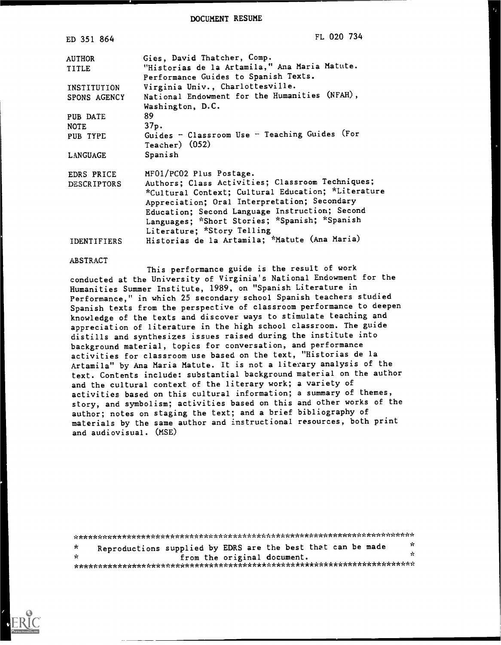DOCUMENT RESUME

| ED 351 864         | FL 020 734                                         |
|--------------------|----------------------------------------------------|
| <b>AUTHOR</b>      | Gies, David Thatcher, Comp.                        |
| <b>TITLE</b>       | "Historias de la Artamila," Ana Maria Matute.      |
|                    | Performance Guides to Spanish Texts.               |
| INSTITUTION        | Virginia Univ., Charlottesville.                   |
| SPONS AGENCY       | National Endowment for the Humanities (NFAH),      |
|                    | Washington, D.C.                                   |
| PUB DATE           | 89.                                                |
| <b>NOTE</b>        | 37p.                                               |
| PUB TYPE           | Guides - Classroom Use - Teaching Guides (For      |
|                    | $Teacher)$ (052)                                   |
| LANGUAGE           | Spanish                                            |
| EDRS PRICE         | MF01/PC02 Plus Postage.                            |
| <b>DESCRIPTORS</b> | Authors; Class Activities; Classroom Techniques;   |
|                    | *Cultural Context; Cultural Education; *Literature |
|                    | Appreciation; Oral Interpretation; Secondary       |
|                    | Education; Second Language Instruction; Second     |
|                    | Languages; *Short Stories; *Spanish; *Spanish      |
|                    | Literature; *Story Telling                         |
| <b>IDENTIFIERS</b> | Historias de la Artamila; *Matute (Ana Maria)      |

#### **ABSTRACT**

This performance guide is the result of work conducted at the University of Virginia's National Endowment for the Humanities Summer Institute, 1989, on "Spanish Literature in Performance," in which 25 secondary school Spanish teachers studied Spanish texts from the perspective of classroom performance to deepen knowledge of the texts and discover ways to stimulate teaching and appreciation of literature in the high school classroom. The guide distills and synthesizes issues raised during the institute into background material, topics for conversation, and performance activities for classroom use based on the text, "Historias de la Artamila" by Ana Maria Matute. It is not a literary analysis of the text. Contents include: substantial background material on the author and the cultural context of the literary work; a variety of activities based on this cultural information; a summary of themes, story, and symbolism; activities based on this and other works of the author; notes on staging the text; and a brief bibliography of materials by the same author and instructional resources, both print and audiovisual. (MSE)

 $\mathbf{x}$  $\star$ Reproductions supplied by EDRS are the best that can be made برد  $\mathbf{r}$ from the original document. 

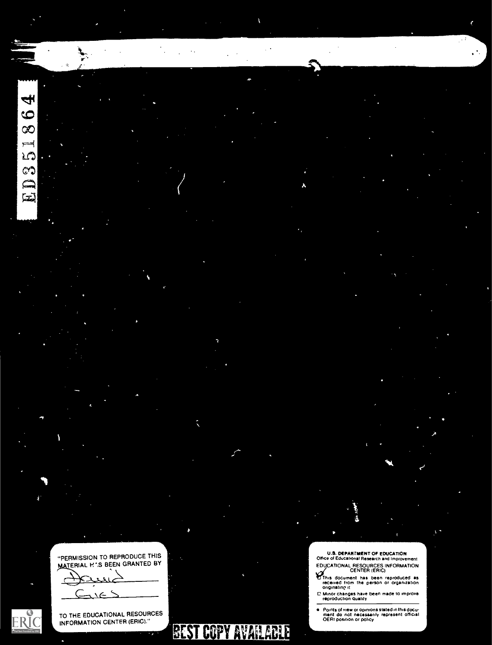4  $\bullet$  $\infty$  $\equiv$ LO  $\mathbb{C}$  $\epsilon$  $\mathbb{Z}$ 

"PERMISSION TO REPRODUCE THIS MATERIAL H 'S BEEN GRANTED BY

ERIC

 $\epsilon$ 

TO THE EDUCATIONAL RESOURCES INFORMATION CENTER (ERIC)."



# **BEST COPY AVAILABLE**

 $\lambda$  and  $\lambda$ 

U.S. DEPARTMENT OF EOUCATtON Office of Educahonal Research and Improvement EDUCATIONAL RESOURCES INFORMATION iCENTER (ERIC)

This document has been reproduced as received from the person or organization ongenatinp it

C Minor changes have been made to improve<br>reproduction quality

Points of view or opinions stated in this docu<del>.</del><br>ment: do: not: necessarily: represent: official<br>OERI position or policy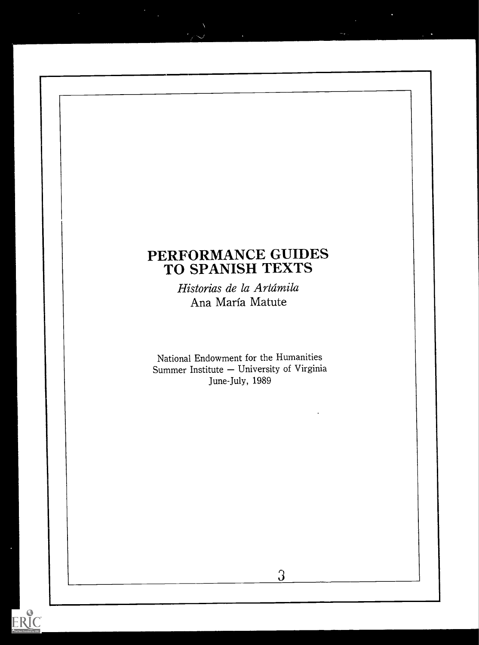# PERFORMANCE GUIDES TO SPANISH TEXTS

Historias de la Artámila Ana Maria Matute

National Endowment for the Humanities Summer Institute - University of Virginia June-July, 1989

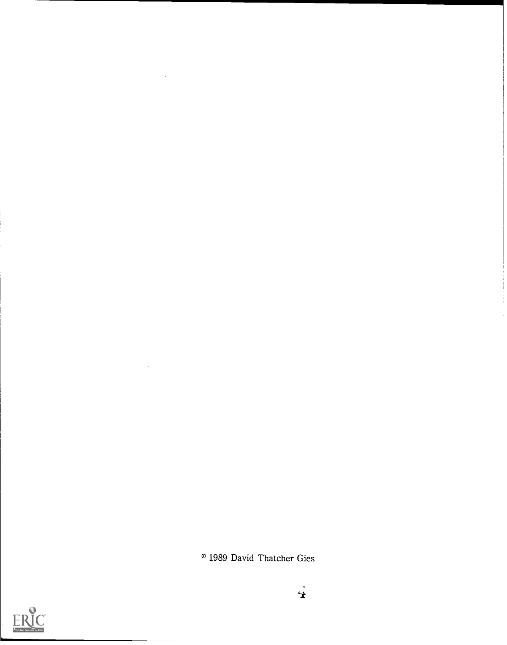<sup>o</sup> 1989 David Thatcher Gies

 $\ddot{\mathbf{r}}$ 

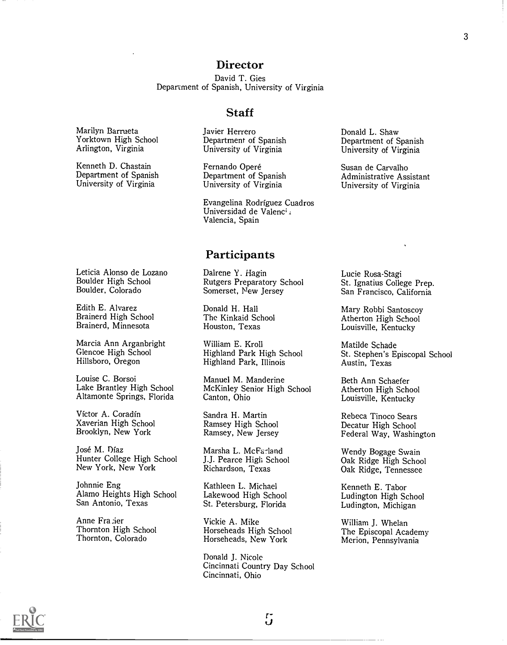# **Director**

David T. Gies Department of Spanish, University of Virginia

Marilyn Barrueta Yorktown High School Arlington, Virginia

Kenneth D. Chastain Department of Spanish University of Virginia

Leticia Alonso de Lozano Boulder High School Boulder, Colorado

Edith E. Alvarez Brainerd High School Brainerd, Minnesota

Marcia Ann Arganbright Glencoe High School Hillsboro, Oregon

Louise C. Borsoi Lake Brantley High School Altamonte Springs, Florida

Victor A. Coradin Xaverian High School Brooklyn, New York

Jose M. Diaz Hunter College High School New York, New York

Johnnie Eng Alamo Heights High School San Antonio, Texas

Anne Frazier Thornton High School Thornton, Colorado

#### **Staff**

Javier Herrero Department of Spanish University of Virginia

Fernando Operé Department of Spanish University of Virginia

Evangelina Rodriguez Cuadros Universidad de Valenci, Valencia, Spain

#### **Participants**

Dalrene Y. Hagin Rutgers Preparatory School Somerset, New Jersey

Donald H. Hall The Kinkaid School Houston, Texas

William E. Kroll Highland Park High School Highland Park, Illinois

Manuel M. Manderine McKinley Senior High School Canton, Ohio

Sandra H. Martin Ramsey High School Ramsey, New Jersey

Marsha L. McFa-land J.J. Pearce High School Richardson, Texas

Kathleen L. Michael Lakewood High School St. Petersburg, Florida

Vickie A. Mike Horseheads High School Horseheads, New York

Donald J. Nicole Cincinnati Country Day School Cincinnati, Ohio

Donald L. Shaw Department of Spanish University of Virginia

Susan de Carvalho Administrative Assistant University of Virginia

Lucie Rosa-Stagi St. Ignatius College Prep. San Francisco, California

Mary Rabbi Santoscoy Atherton High School Louisville, Kentucky

Matilde Schade St. Stephen's Episcopal School Austin, Texas

Beth Ann Schaefer Atherton High School Louisville, Kentucky

Rebeca Tinoco Sears Decatur High School Federal Way, Washington

Wendy Bogage Swain Oak Ridge High School Oak Ridge, Tennessee

Kenneth E. Tabor Ludington High School Ludington, Michigan

William J. Whelan The Episcopal Academy Merion, Pennsylvania

3



 $5\,$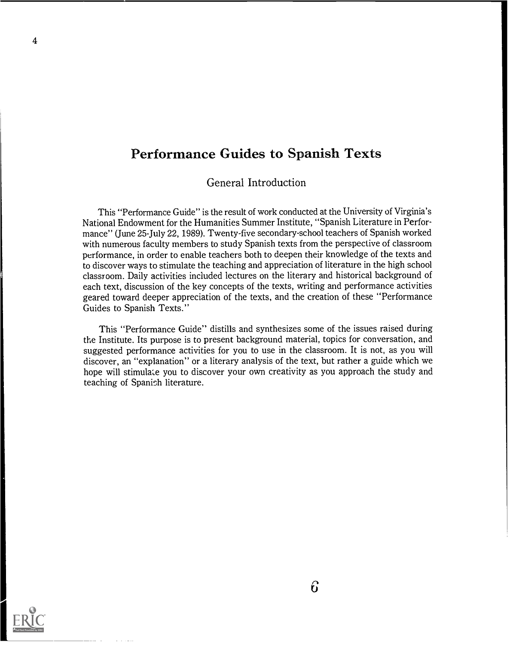# Performance Guides to Spanish Texts

General Introduction

This "Performance Guide" is the result of work conducted at the University of Virginia's National Endowment for the Humanities Summer Institute, "Spanish Literature in Performance" (June 25-July 22, 1989). Twenty-five secondary-school teachers of Spanish worked with numerous faculty members to study Spanish texts from the perspective of classroom performance, in order to enable teachers both to deepen their knowledge of the texts and to discover ways to stimulate the teaching and appreciation of literature in the high school classroom. Daily activities included lectures on the literary and historical background of each text, discussion of the key concepts of the texts, writing and performance activities geared toward deeper appreciation of the texts, and the creation of these "Performance Guides to Spanish Texts."

This "Performance Guide" distills and synthesizes some of the issues raised during the Institute. Its purpose is to present background material, topics for conversation, and suggested performance activities for you to use in the classroom. It is not, as you will discover, an "explanation" or a literary analysis of the text, but rather a guide which we hope will stimulate you to discover your own creativity as you approach the study and teaching of Spanish literature.

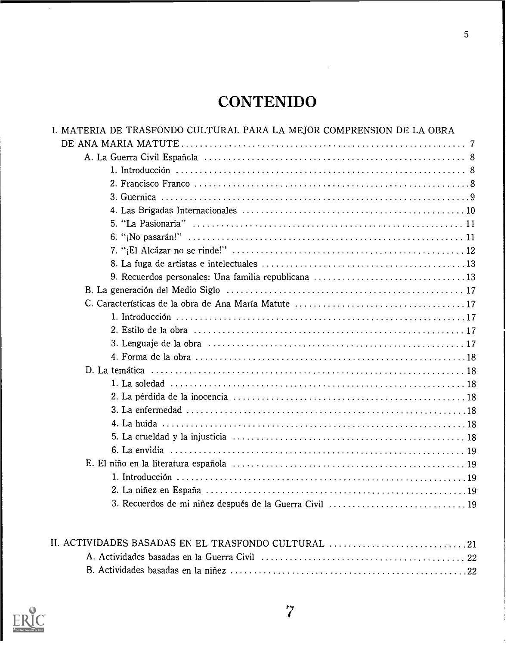# **CONTENIDO**

| I. MATERIA DE TRASFONDO CULTURAL PARA LA MEJOR COMPRENSION DE LA OBRA |
|-----------------------------------------------------------------------|
|                                                                       |
|                                                                       |
|                                                                       |
|                                                                       |
|                                                                       |
|                                                                       |
|                                                                       |
|                                                                       |
|                                                                       |
|                                                                       |
| 9. Recuerdos personales: Una familia republicana 13                   |
|                                                                       |
|                                                                       |
|                                                                       |
|                                                                       |
|                                                                       |
|                                                                       |
|                                                                       |
|                                                                       |
|                                                                       |
|                                                                       |
|                                                                       |
|                                                                       |
|                                                                       |
|                                                                       |
|                                                                       |
|                                                                       |
|                                                                       |
|                                                                       |



 $\ddot{\phantom{0}}$ 

 $\overline{7}$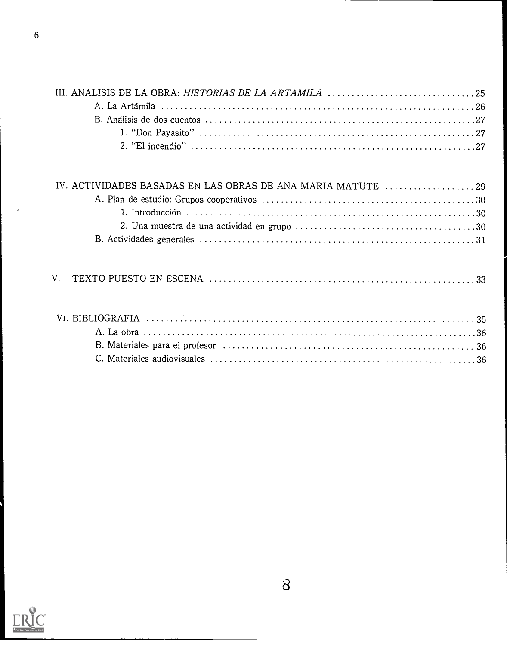| IV. ACTIVIDADES BASADAS EN LAS OBRAS DE ANA MARIA MATUTE 29 |  |
|-------------------------------------------------------------|--|
|                                                             |  |
|                                                             |  |
|                                                             |  |
|                                                             |  |
|                                                             |  |

|--|--|--|

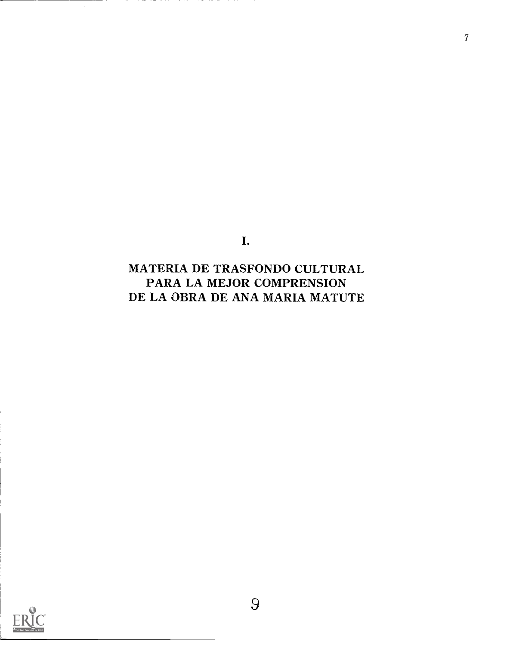I.

7

MATERIA DE TRASFONDO CULTURAL PARA LA MEJOR COMPRENSION DE LA OBRA DE ANA MARIA MATUTE

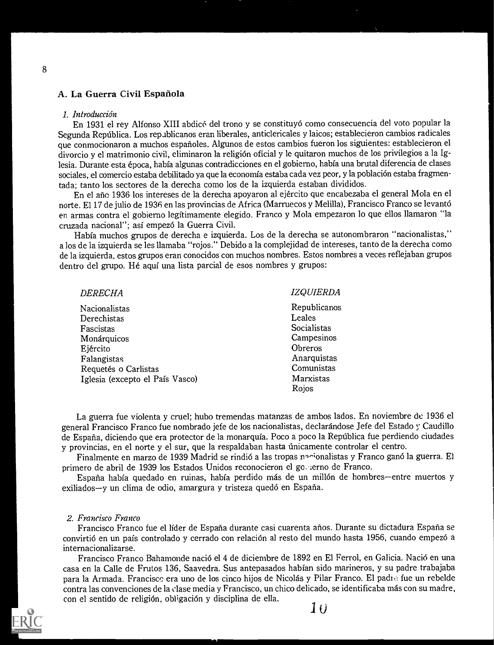# A. La Guerra Civil Espanola

#### 1. Introducción

En 1931 el rey Alfonso XIII abdic6 del trono y se constituyo como consecuencia del voto popular la Segunda República. Los republicanos eran liberales, anticlericales y laicos; establecieron cambios radicales que conmocionaron a muchos esparioles. Algunos de estos cambios fueron los siguientes: establecieron el divorcio y el matrimonio civil, eliminaron la religion oficial y le quitaron muchos de los privilegios a la Iglesia. Durante esta epoca, habia algunas contradicciones en el gobierno, habia una brutal diferencia de clases sociales, el comercio estaba debilitado ya que la economía estaba cada vez peor, y la población estaba fragmentada; tanto los sectores de la derecha como los de la izquierda estaban divididos.

En el año 1936 los intereses de la derecha apoyaron al ejército que encabezaba el general Mola en el norte. El 17 de julio de 1936 en las provincias de Africa (Marruecos y Melilla), Francisco Franco se levanto en armas contra el gobierno legftimamente elegido. Franco y Mola empezaron lo que ellos llamaron "la cruzada nacional"; así empezó la Guerra Civil.

Habia muchos grupos de derecha e izquierda. Los de la derecha se autonombraron "nacionalistas," a los de la izquierda se les Ilamaba "rojos." Debido a la complejidad de intereses, tanto de la derecha como de la izquierda, estos grupos eran conocidos con muchos nombres. Estos nombres a veces reflejaban grupos dentro del grupo. Hé aquí una lista parcial de esos nombres y grupos:

| <b>IZQUIERDA</b> |
|------------------|
| Republicanos     |
| Leales           |
| Socialistas      |
| Campesinos       |
| Obreros          |
| Anarquistas      |
| Comunistas       |
| Marxistas        |
| Rojos            |
|                  |

La guerra fue violenta y cruel; hubo tremendas matanzas de ambos lados. En noviembre de 1936 el general Francisco Franco fue nombrado jefe de los nacionalistas, declarandose Jefe del Estado y Caudillo de España, diciendo que era protector de la monarquía. Poco a poco la República fue perdiendo ciudades y provincias, en el norte y el sur, que la respaldaban hasta únicamente controlar el centro.

Finalmente en marzo de 1939 Madrid se rindió a las tropas nocionalistas y Franco ganó la guerra. El primero de abril de 1939 los Estados Unidos reconocieron el go..;erno de Franco.

España había quedado en ruinas, había perdido más de un millón de hombres-entre muertos y exiliados-y un clima de odio, amargura y tristeza quedó en España.

#### 2. Francisco Franco

Francisco Franco fue el líder de España durante casi cuarenta años. Durante su dictadura España se convirtió en un país controlado y cerrado con relación al resto del mundo hasta 1956, cuando empezó a internacionalizarse.

Francisco Franco Bahamonde nacio el 4 de diciembre de 1892 en El Ferrol, en Galicia. Naci6 en una casa en la Calle de Frutos 136, Saavedra. Sus antepasados habfan sido marineros, y su padre trabajaba para la Armada. Francisco era uno de los cinco hijos de Nicolás y Pilar Franco. El padre fue un rebelde contra las convenciones de la clase media y Francisco, un chico delicado, se identificaba más con su madre, con el sentido de religión, obligación y disciplina de ella.

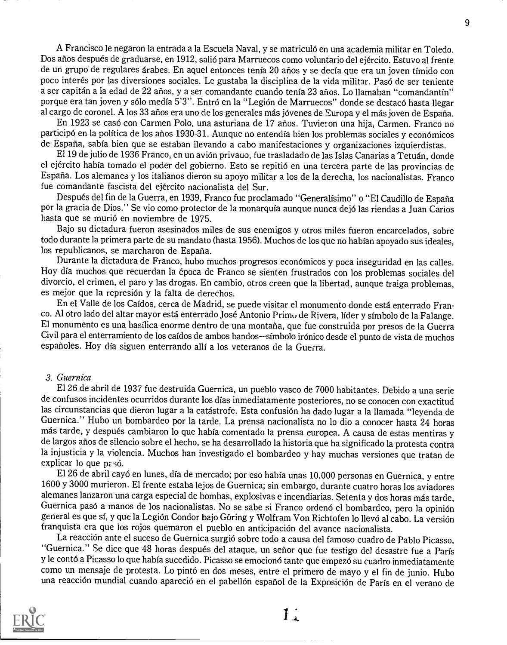A Francisco le negaron la entrada a la Escuela Naval, y se matriculó en una academia militar en Toledo. Dos años después de graduarse, en 1912, salió para Marruecos como voluntario del ejército. Estuvo al frente de un grupo de regulares arabes. En aquel entonces tenfa 20 anos y se decia que era un joven tfmido con poco interes par las diversiones sociales. Le gustaba la disciplina de la vida militar. Pas6 de ser teniente a ser capitan a la edad de 22 anos, y a ser comandante cuando tenth. 23 anos. Lo llamaban "comandantin" porque era tan joven y sólo medía 5'3''. Entró en la "Legión de Marruecos" donde se destacó hasta llegar al cargo de coronel. A los 33 años era uno de los generales más jóvenes de Europa y el más joven de España.

En 1923 se cas6 con Carmen Polo, una asturiana de 17 anos. Tuvieron una hija, Carmen. Franco no participó en la política de los años 1930-31. Aunque no entendía bien los problemas sociales y económicos de Espana, sabia bien que se estaban ilevando a cabo manifestaciones y organizaciones izquierdistas.

El 19 de julio de 1936 Franco, en un avión privauo, fue trasladado de las Islas Canarias a Tetuán, donde el ejército había tomado el poder del gobierno. Esto se repitió en una tercera parte de las provincias de Espana. Los alemanes y los italianos dieron su apoyo militar a los de la derecha, los nacionalistas. Franco fue comandante fascista del ejercito nacionalista del Sur.

Después del fin de la Guerra, en 1939, Franco fue proclamado "Generalísimo" o "El Caudillo de España por la gracia de Dios." Se vio como protector de la monarquía aunque nunca dejó las riendas a Juan Carios hasta que se murio en noviembre de 1975.

Bajo su dictadura fueron asesinados miles de sus enemigos y otros miles fueron encarcelados, sobre todo durante la primera parte de su mandato (hasta 1956). Muchos de los que no hablan apoyado sus ideales, los republicanos, se marcharon de Espana.

Durante la dictadura de Franco, hubo muchos progresos económicos y poca inseguridad en las calles. Hoy dia muchos que recuerdan la epoca de Franco se sienten frustrados con los problemas sociales del divorcio, el crimen, el paro y las drogas. En cambio, otros creen que la libertad, aunque traiga problemas, es mejor que la represión y la falta de derechos.

En el Valle de los Caidos, cerca de Madrid, se puede visitar el monumento donde esta enterrado Franco. Al otro lado del altar mayor esta enterrado Jose Antonio Primu de Rivera, lider y simbolo de la Falange. El monumento es una basilica enorme dentro de una montana, que fue construida por presos de la Guerra Civil para el enterramiento de los caídos de ambos bandos-símbolo irónico desde el punto de vista de muchos españoles. Hoy día siguen enterrando allí a los veteranos de la Guerra.

#### 3. Guernica

El 26 de abril de 1937 fue destruida Guernica, un pueblo vasco de 7000 habitantes. Debido a una serie de confusos incidentes ocurridos durante los dfas inmediatamente posteriores, no se conocen con exactitud las circunstancias que dieron lugar a la catastrofe. Esta confusion ha dado lugar a la Hamada "leyenda de Guernica." Hubo un bombardeo por la tarde. La prensa nacionalista no lo dio a conocer hasta 24 horas más tarde, y después cambiaron lo que había comentado la prensa europea. A causa de estas mentiras y de largos años de silencio sobre el hecho, se ha desarrollado la historia que ha significado la protesta contra la injusticia y la violencia. Muchos han investigado el bombardeo y hay muchas versiones que tratan de explicar lo que pasó.

El 26 de abril cayó en lunes, día de mercado; por eso había unas 10.000 personas en Guernica, y entre 1600 y 3000 murieron. El frente estaba lejos de Guernica; sin embargo, durante cuatro horas los aviadores alemanes lanzaron una carga especial de bombas, explosivas e incendiarias. Setenta y dos horas más tarde, Guernica pasó a manos de los nacionalistas. No se sabe si Franco ordenó el bombardeo, pero la opinión general es que sí, y que la Legión Condor bajo Göring y Wolfram Von Richtofen lo llevó al cabo. La versión franquista era que los rojos quemaron el pueblo en anticipacion del avance nacionalista.

La reacción ante el suceso de Guernica surgió sobre todo a causa del famoso cuadro de Pablo Picasso, "Guernica." Se dice que 48 horas después del ataque, un señor que fue testigo del desastre fue a París y le contó a Picasso lo que había sucedido. Picasso se emocionó tanto que empezó su cuadro inmediatamente como un mensaje de protesta. Lo pinto en dos meses, entre el primero de mayo y el fin de junio. Hubo una reaccion mundial cuando apareci6 en el pabellon espanol de la Exposicion de Paris en el verano de



 $11.$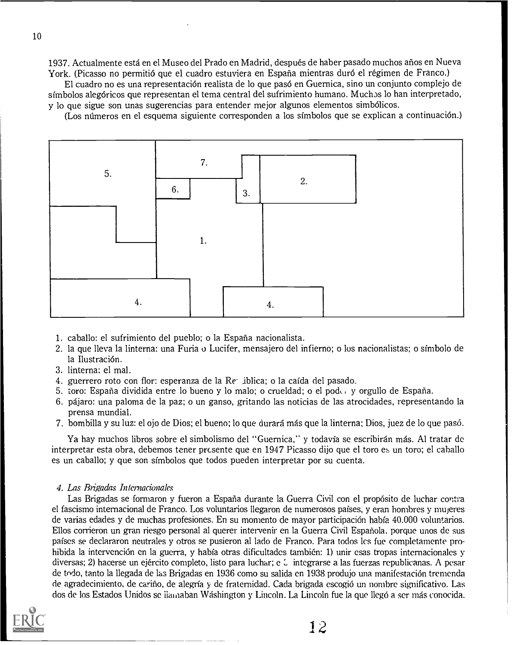1937. Actualmente está en el Museo del Prado en Madrid, después de haber pasado muchos años en Nueva York. (Picasso no permitió que el cuadro estuviera en España mientras duró el régimen de Franco.)

El cuadro no es una representacion realista de lo que pas6 en Guernica, sino un conjunto complejo de simbolos alegoricos que representan el tema central del sufrimiento humano. Muchas lo han interpretado, y lo que sigue son unas sugerencias para entender mejor algunos elementos simbOlicos.

(Los mimeros en el esquema siguiente corresponden a los simbolos que se explican a continuaci6n.)



- 1. caballo: el sufrimiento del pueblo; o la Espana nacionalista.
- 2. la que lleva la linterna: una Furia o Lucifer, mensajero del infierno; o los nacionalistas; o sfmbolo de la Ilustración.
- 3. linterna: el mal.
- 4. guerrero roto con flor: esperanza de la  $\text{Re}$  iblica; o la caída del pasado.
- 5. toro: Espana dividida entre lo bueno y lo malo; o crueldad; o el pock y orgullo de Espana.
- 6. pajaro: una paloma de la paz; o un ganso, gritando las noticias de las atrocidades, representando la prensa mundial.
- 7. bombilla y su luz: el ojo de Dios; el bueno; lo que durara mas que la linterna; Dios, juez de lo que pas6.

Ya hay muchos libros sobre el simbolismo del "Guernica," y todavía se escribirán más. Al tratar de interpretar esta obra, debemos tener pr $\epsilon$ sente que en 1947 Picasso dijo que el toro es un toro; el caballo es un caballo; y que son simbolos que todos pueden interpretar por su cuenta.

#### 4. Las Brigadas Internacianales

Las Brigadas se formaron y fueron a España durante la Guerra Civil con el propósito de luchar contra el fascismo internacional de Franco. Los voluntarios ilegaron de numerosos pafses, y eran hombres y mujeres de varias edades y de muchas profesiones. En su momento de mayor participacion habfa 40.000 voluntarios. Ellos corrieron un gran riesgo personal at querer intervenir en la Guerra Civil Espanola, porque unos de sus pafses se declararon neutrales y otros se pusieron at lado de Franco. Para todos les fue completamente prohibida la intervención en la guerra, y había otras dificultades también: 1) unir esas tropas internacionales v diversas; 2) hacerse un ejército completo, listo para luchar; e  $\zeta$  integrarse a las fuerzas republicanas. A pesar de todo, tanto la llegada de las Brigadas en 1936 como su salida en 1938 produjo una manifestación tremenda de agradecimiento, de carino, de alegria y de fraternidad. Cada brigada escogi6 un nombre significativo. Las dos de los Estados Unidos se iiainaban Washington y Lincoln. La Lincoln fue la que liege a ser mas conocida.

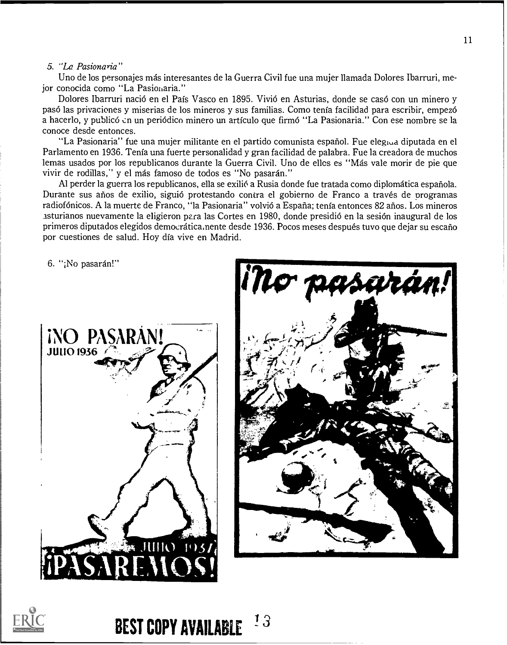#### 5. "La Pasionaria"

Uno de los personajes más interesantes de la Guerra Civil fue una mujer llamada Dolores Ibarruri, mejor conocida como "La Pasionaria."

Dolores Ibarruri nació en el País Vasco en 1895. Vivió en Asturias, donde se casó con un minero y pasó las privaciones y miserias de los mineros y sus familias. Como tenía facilidad para escribir, empezó a hacerlo, y publicó en un periódico minero un artículo que firmó "La Pasionaria." Con ese nombre se la conoce desde entonces.

"La Pasionaria" fue una mujer militante en el partido comunista español. Fue eleg<sub>tyd</sub> diputada en el Parlamento en 1936. Tenía una fuerte personalidad y gran facilidad de palabra. Fue la creadora de muchos lemas usados por los republicanos durante la Guerra Civil. Uno de ellos es "Más vale morir de pie que vivir de rodillas," y el más famoso de todos es "No pasarán."

Al perder la guerra los republicanos, ella se exilió a Rusia donde fue tratada como diplomática española. Durante sus años de exilio, siguió protestando contra el gobierno de Franco a través de programas radiofónicos. A la muerte de Franco, "la Pasionaria" volvió a España; tenía entonces 82 años. Los mineros asturianos nuevamente la eligieron para las Cortes en 1980, donde presidió en la sesión inaugural de los primeros diputados elegidos democrática, nente desde 1936. Pocos meses después tuvo que dejar su escaño por cuestiones de salud. Hoy día vive en Madrid.

6. "¡No pasarán!"







 $13$ **BEST COPY AVAILABLE**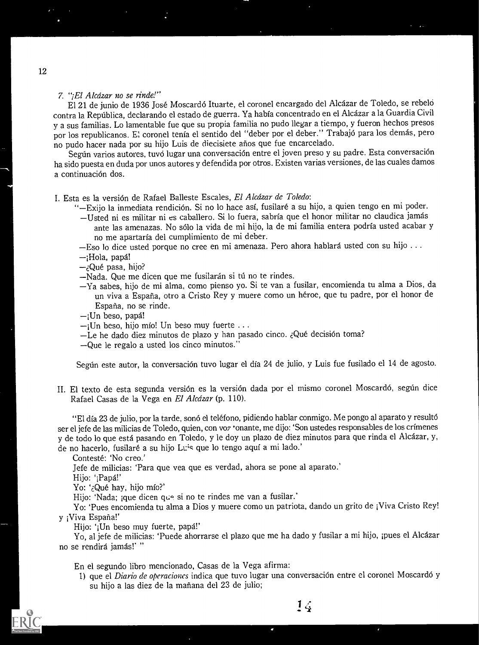### 7. "¡El Alcázar no se rinde!"

El 21 de junio de 1936 José Moscardó Ituarte, el coronel encargado del Alcázar de Toledo, se rebeló contra la Republica, declarando el estado de guerra. Ya habia concentrado en el Alcazar a la Guardia Civil y a sus familias. Lo lamentable fue que su propia familia no pudo llegar a tiempo, y fueron hechos presos por los republicanos. El coronel tenía el sentido del "deber por el deber." Trabajó para los demás, pero no pudo hacer nada por su hijo Luis de diecisiete arios que fue encarcelado.

Según varios autores, tuvo lugar una conversación entre el joven preso y su padre. Esta conversación ha sido puesta en duda por unos autores y defendida por otros. Existen varias versiones, de las cuales damos a continuación dos.

#### I. Esta es la versión de Rafael Balleste Escales, El Alcázar de Toledo:

- "—Exijo la inmediata rendición. Si no lo hace así, fusilaré a su hijo, a quien tengo en mi poder.
- Usted ni es militar ni es caballero. Si lo fuera, sabria que el honor militar no claudica jamas ante las amenazas. No sólo la vida de mi hijo, la de mi familia entera podría usted acabar y no me apartarfa del cumplimiento de mi deber.
- -Eso lo dice usted porque no cree en mi amenaza. Pero ahora hablará usted con su hijo ...
- -;Hola, papá!
- -¿Qué pasa, hijo?
- -Nada. Que me dicen que me fusilarán si tú no te rindes.
- Ya sabes, hijo de mi alma, como pienso yo. Si te van a fusilar, encomienda tu alma a Dios, da un viva a Espana, otro a Cristo Rey y muere como un heroe, que tu padre, por el honor de Espana, no se rinde.
- $-$ ¡Un beso, papá!
- $-i$ Un beso, hijo mío! Un beso muy fuerte ...
- -Le he dado diez minutos de plazo y han pasado cinco. ¿Qué decisión toma?
- --Que le regalo a usted los cinco minutos."

Según este autor, la conversación tuvo lugar el día 24 de julio, y Luis fue fusilado el 14 de agosto.

II. El texto de esta segunda versión es la versión dada por el mismo coronel Moscardó, según dice Rafael Casas de la Vega en El Alcázar (p. 110).

"El día 23 de julio, por la tarde, sonó el teléfono, pidiendo hablar conmigo. Me pongo al aparato y resultó ser el jefe de las milicias de Toledo, quien, con voz 'onante, me dijo: 'Son ustedes responsables de los crímenes y de todo lo que está pasando en Toledo, y le doy un plazo de diez minutos para que rinda el Alcázar, y, de no hacerlo, fusilaré a su hijo Luis que lo tengo aquí a mi lado.'

Conteste: 'No creo.'

Jefe de milicias: 'Para que yea que es verdad, ahora se pone al aparato.'

Hijo: ';Papa!'

Yo: '¿Qué hay, hijo mío?'

Hijo: 'Nada; ;que dicen que si no te rindes me van a fusilar.'

Yo: 'Pues encomienda tu alma a Dios y muere como un patriota, dando un grito de ;Viva Cristo Rey! y ;Viva Espana!'

Hijo: ';Un beso muy fuerte, papa!'

Yo, al jefe de milicias: 'Puede ahorrarse el plazo que me ha dado y fusilar a mi hijo, ¡pues el Alcázar no se rendirá jamás!' "

En el segundo libro mencionado, Casas de la Vega afirma:

1) que el Diario de operaciones indica que tuvo lugar una conversación entre el coronel Moscardó y su hijo a las diez de la mañana del 23 de julio;

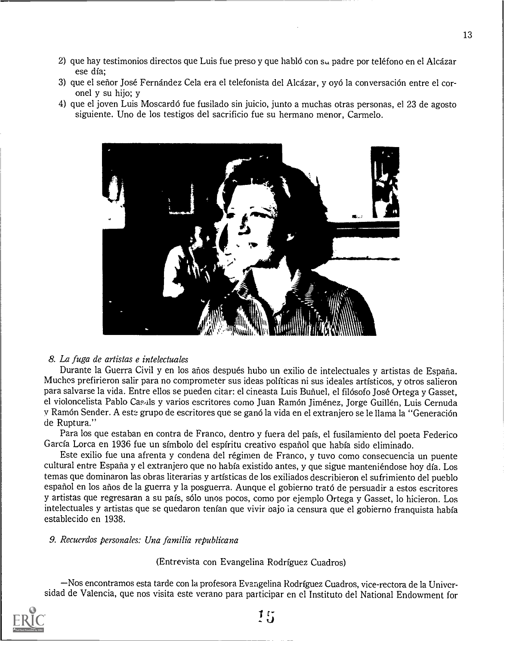- 2) que hay testimonios directos que Luis fue preso y que hablo con su padre por telefono en el Alcazar ese dia.;
- 3) que el señor José Fernández Cela era el telefonista del Alcázar, y oyó la conversación entre el coronel y su hijo; y
- 4) que el joven Luis Moscardo fue fusilado sin juicio, junto a muchas otras personas, el 23 de agosto siguiente. Uno de los testigos del sacrificio fue su hermano menor, Carmelo.



#### 8. La fuga de artistas e intelectuales

Durante la Guerra Civil y en los años después hubo un exilio de intelectuales y artistas de España. Muches prefirieron salir para no comprometer sus ideas polfticas ni sus ideales artisticos, y otros salieron para salvarse la vida. Entre ellos se pueden citar: el cineasta Luis Buñuel, el filósofo José Ortega y Gasset, el violoncelista Pablo Casals y varios escritores como Juan Ramón Jiménez, Jorge Guillén, Luis Cernuda y Ramón Sender. A este grupo de escritores que se ganó la vida en el extranjero se le llama la "Generación de Ruptura."

Para los que estaban en contra de Franco, dentro y fuera del pais, el fusilamiento del poeta Federico Garcia Lorca en 1936 fue un simbolo del espiritu creativo espariol que habia sido eliminado.

Este exilio fue una afrenta y condena del regimen de Franco, y tuvo como consecuencia un puente cultural entre Espana y el extranjero que no habia existido antes, y que sigue manteniendose hoy dia. Los temas que dominaron las obras literarias y artisticas de los exiliados describieron el sufrimiento del pueblo español en los años de la guerra y la posguerra. Aunque el gobierno trató de persuadir a estos escritores y artistas que regresaran a su pais, solo unos pocos, como por ejemplo Ortega y Gasset, lo hicieron. Los intelectuales y artistas que se quedaron tenían que vivir pajo ia censura que el gobierno franquista había establecido en 1938.

#### 9. Recuerdos personales: Una familia republicana

(Entrevista con Evangelina Rodriguez Cuadros)

-Nos encontramos esta tarde con la profesora Evangelina Rodriguez Cuadros, vice-rectora de la Universidad de Valencia, que nos visita este verano para participar en el Instituto del National Endowment for

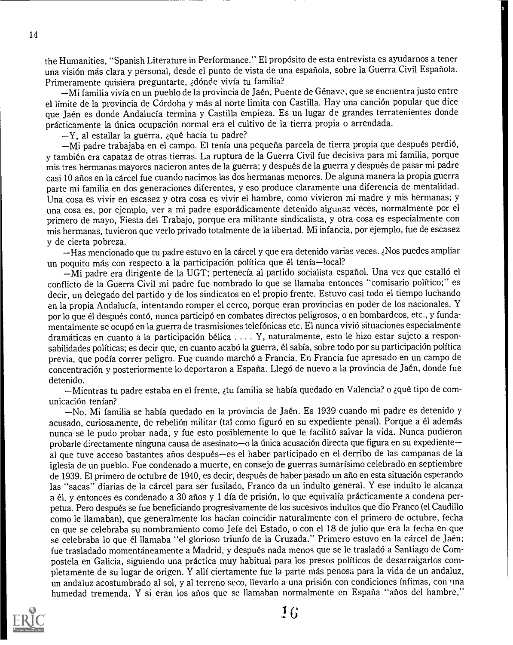the Humanities, "Spanish Literature in Performance." El prop6sito de esta entrevista es ayudarnos a tener una visión más clara y personal, desde el punto de vista de una española, sobre la Guerra Civil Española. Primeramente quisiera preguntarte, adónde vivía tu familia?

—Mi familia vivía en un pueblo de la provincia de Jaén, Puente de Génave, que se encuentra justo entre el límite de la provincia de Córdoba y más al norte limita con Castilla. Hay una canción popular que dice que Jaén es donde Andalucía termina y Castilla empieza. Es un lugar de grandes terratenientes donde prácticamente la única ocupación normal era el cultivo de la tierra propia o arrendada.

 $-Y$ , al estallar la guerra, ¿qué hacía tu padre?

-Mi padre trabajaba en el campo. El tenía una pequeña parcela de tierra propia que después perdió, y tambien era capataz de otras tierras. La ruptura de la Guerra Civil fue decisiva para mi familia, porque mis tres hermanas mayores nacieron antes de la guerra; y después de la guerra y después de pasar mi padre casi 10 anos en la carcel fue cuando nacimos las dos hermanas menores. De alguna manera la propia guerra parte mi familia en dos generaciones diferentes, y eso produce claramente una diferencia de mentalidad. Una cosa es vivir en escasez y otra cosa es vivir el hambre, como vivieron mi madre y mis hermanas; y una cosa es, por ejemplo, ver a mi padre esporadicamente detenido algunaz veces, normalmente por el primero de mayo, Fiesta del Trabajo, porque era militante sindicalista, y otra cosa es especialmente con mis hermanas, tuvieron que verlo privado totalmente de la libertad. Mi infancia, por ejemplo, fue de escasez y de cierta pobreza.

-Has mencionado que tu padre estuvo en la cárcel y que era detenido varias veces. ¿Nos puedes ampliar un poquito más con respecto a la participación política que él tenía-local?

-Mi padre era dirigente de la UGT; pertenecía al partido socialista español. Una vez que estalló el conflicto de la Guerra Civil mi padre fue nombrado lo que se llamaba entonces "comisario politico;" es decir, un delegado del partido y de los sindicatos en el propio frente. Estuvo casi todo el tiempo luchando en la propia Andalucia, intentando romper el cerco, porque eran provincias en poder de los nacionales. Y por lo que él después contó, nunca participó en combates directos peligrosos, o en bombardeos, etc., y fundamentalmente se ocupo en la guerra de trasmisiones telefonicas etc. El nunca vivid situaciones especialmente dramáticas en cuanto a la participación bélica  $\dots$ . Y, naturalmente, esto le hizo estar sujeto a responsabilidades políticas; es decir que, en cuanto acabó la guerra, él sabía, sobre todo por su participación política previa, que podía correr peligro. Fue cuando marchó a Francia. En Francia fue apresado en un campo de concentración y posteriormente lo deportaron a España. Llegó de nuevo a la provincia de Jaén, donde fue detenido.

-Mientras tu padre estaba en el frente, ¿tu familia se había quedado en Valencia? o ¿qué tipo de comunicación tenían?

-No. Mi familia se había quedado en la provincia de Jaén. Es 1939 cuando mi padre es detenido y acusado, curiosamente, de rebelión militar (tal como figuró en su expediente penal). Porque a él además nunca se le pudo probar nada, y fue esto posiblemente lo que le facilitó salvar la vida. Nunca pudieron probarle directamente ninguna causa de asesinato-o la única acusación directa que figura en su expedienteal que tuve acceso bastantes años después-es el haber participado en el derribo de las campanas de la iglesia de un pueblo. Fue condenado a muerte, en consejo de guerras sumarisimo celebrado en septiembre de 1939. El primero de octubre de 1940, es decir, después de haber pasado un año en esta situación esperando las "sacas" diarias de la cárcel para ser fusilado, Franco da un indulto general. Y ese indulto le alcanza a el, y entonces es condenado a 30 anos y 1 dia de prision, lo que equivalia practicamente a condena perpetua. Pero después se fue beneficiando progresivamente de los sucesivos indultos que dio Franco (el Caudillo como le llamaban), que generalmente los hacían coincidir naturalmente con el primero de octubre, fecha en que se celebraba su nombramiento como Jefe del Estado, o con el 18 de julio que era la fecha en que se celebraba lo que él llamaba "el glorioso triunfo de la Cruzada." Primero estuvo en la cárcel de Jaén; fue trasladado momentáneamente a Madrid, y después nada menos que se le trasladó a Santiago de Compostela en Galicia, siguiendo una práctica muy habitual para los presos políticos de desarraigarlos completamente de su lugar de origen. Y alli ciertamente fue la parte mas penosa para la vida de un andaluz, un andaluz acostumbrado al sol, y al terreno seco, llevarlo a una prision con condiciones Infimas, con tina humedad tremenda. Y si eran los años que se llamaban normalmente en España "años del hambre,"

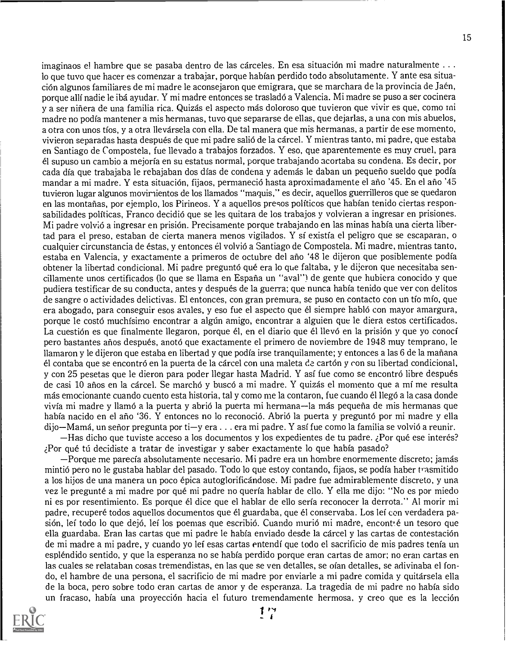imaginaos el hambre que se pasaba dentro de las cárceles. En esa situación mi madre naturalmente  $\dots$ lo que tuvo que hacer es comenzar a trabajar, porque habian perdido todo absolutamente. Y ante esa situacion algunos familiares de mi madre le aconsejaron que emigrara, que se marchara de la provincia de Jaen, porque alli nadie le iba ayudar. Y mi madre entonces se traslado a Valencia. Mi madre se puso a ser cocinera y a ser ninera de una familia rica. Quizas el aspecto mas doloroso que tuvieron que vivir es que, como ini madre no podia mantener a mis hermanas, tuvo que separarse de ellas, que dejarlas, a una con mis abuelos, a otra con unos tíos, y a otra llevársela con ella. De tal manera que mis hermanas, a partir de ese momento, vivieron separadas hasta después de que mi padre salió de la cárcel. Y mientras tanto, mi padre, que estaba en Santiago de Compostela, fue llevado a trabajos forzados. Y eso, que aparentemente es muy cruel, para el supuso un cambio a mejoria en su estatus normal, porque trabajando acortaba su condena. Es decir, por cada dia que trabajaba le rebajaban dos dias de condena y ademas le daban un pequeno sueldo que podia mandar a mi madre. Y esta situación, fijaos, permaneció hasta aproximadamente el año '45. En el año '45 tuvieron lugar algunos movimientos de los Ilamados "maquis," es decir, aquellos guerrilleros que se quedaron en las montanas, por ejemplo, los Pirineos. Y a aquellos presos politicos que habian tenido ciertas responsabilidades políticas, Franco decidió que se les quitara de los trabajos y volvieran a ingresar en prisiones. Mi padre volvio a ingresar en prisi6n. Precisamente porque trabajando en las minas habia una cierta libertad para el preso, estaban de cierta manera menos vigilados. Y si existia el peligro que se escaparan, o cualquier circunstancia de estas, y entonces el volvio a Santiago de Compostela. Mi madre, mientras tanto, estaba en Valencia, y exactamente a primeros de octubre del año '48 le dijeron que posiblemente podía obtener la libertad condicional. Mi padre preguntó qué era lo que faltaba, y le dijeron que necesitaba sencillamente unos certificados (lo que se llama en Espana un "aval ") de gente que hubiera conocido y que pudiera testificar de su conducta, antes y despues de la guerra; que nunca habia tenido que ver con delitos de sangre o actividades delictivas. El entonces, con gran premura, se puso en contacto con un tio mio, que era abogado, para conseguir esos avales, y eso fue el aspecto que él siempre habló con mayor amargura, porque le costó muchísimo encontrar a algún amigo, encontrar a alguien que le diera estos certificados. La cuestión es que finalmente llegaron, porque él, en el diario que él llevó en la prisión y que yo conocí pero bastantes anos despues, anoto que exactamente el primero de noviembre de 1948 muy temprano, le Ilamaron y le dijeron que estaba en libertad y que podia irse tranquilamente; y entonces a las 6 de la manana él contaba que se encontró en la puerta de la cárcel con una maleta de cartón y con su libertad condicional, y con 25 pesetas que le dieron para poder llegar hasta Madrid. Y así fue como se encontró libre después de casi 10 arios en Ia carcel. Se marcho y busco a mi madre. Y quizas el momento que a mi me resulta más emocionante cuando cuento esta historia, tal y como me la contaron, fue cuando él llegó a la casa donde vivía mi madre y llamó a la puerta y abrió la puerta mi hermana—la más pequeña de mis hermanas que había nacido en el año '36. Y entonces no lo reconoció. Abrió la puerta y preguntó por mi madre y ella dijo—Mamá, un señor pregunta por ti—y era . . . era mi padre. Y así fue como la familia se volvió a reunir.  $-H$ as dicho que tuviste acceso a los documentos y los expedientes de tu padre. ¿Por qué ese interés?

 $i$ Por qué tú decidiste a tratar de investigar y saber exactamente lo que había pasado?

Porque me parecia absolutamente necesario. Mi padre era un hombre enormemente discreto; jamas mintio pero no le gustaba hablar del pasado. Todo lo que estoy contando, fijaos, se podia haber trasmitido a los hijos de una manera un poco epica autoglorificandose. Mi padre fue admirablemente discreto, y una vez le pregunté a mi madre por qué mi padre no quería hablar de ello. Y ella me dijo: "No es por miedo ni es por resentimiento. Es porque el dice que el hablar de ello seria reconocer la derrota." Al morir mi padre, recupere todos aquellos documentos que el guardaba, que el conservaba. Los lei con verdadera pasión, leí todo lo que dejó, leí los poemas que escribió. Cuando murió mi madre, encont, é un tesoro que ella guardaba. Eran las cartas que mi padre le había enviado desde la cárcel y las cartas de contestación de mi madre a mi padre, y cuando yo lei esas cartas entendi que todo el sacrificio de mis padres tenia un esplendido sentido, y que la esperanza no se habia perdido porque eran cartas de amor; no eran cartas en las cuales se relataban cosas tremendistas, en las que se ven detalles, se oían detalles, se adivinaba el fondo, el hambre de una persona, el sacrificio de mi madre por enviarle a mi padre comida y quitarsela ella de la Boca, pero sobre todo eran cartas de amor y de esperanza. La tragedia de mi padre no habia sido un fracaso, había una proyección hacia el futuro tremendamente hermosa, y creo que es la lección

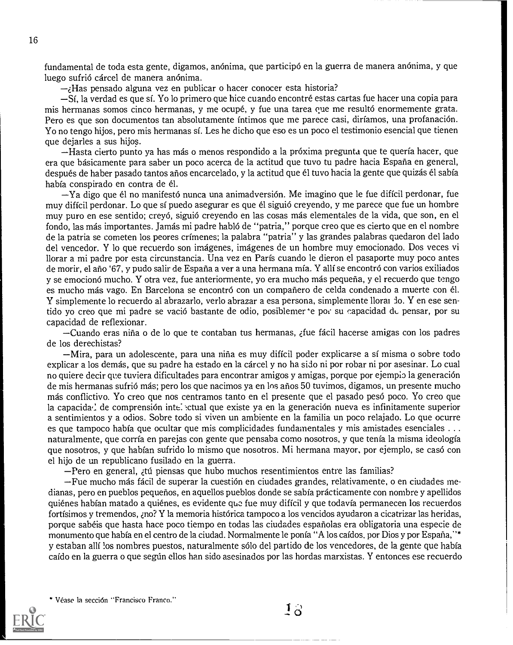fundamental de toda esta gente, digamos, anonima, que participo en la guerra de manera anonima, y que luego sufrió cárcel de manera anónima.

 $\rightarrow$ Has pensado alguna vez en publicar o hacer conocer esta historia?

Si, la verdad es que si. Yo lo primero que hice cuando encontre estas cartas fue hacer una copia para mis hermanas somos cinco hermanas, y me ocupé, y fue una tarea que me resultó enormemente grata. Pero es que son documentos tan absolutamente íntimos que me parece casi, diríamos, una profanación. Yo no tengo hijos, pero mis hermanas si. Les he dicho que eso es un poco el testimonio esencial que tienen que dejarles a sus hijos.

Hasta cierto punto ya has mas o menos respondido a la proxima pregunta que te querfa hacer, que era que básicamente para saber un poco acerca de la actitud que tuvo tu padre hacia España en general, después de haber pasado tantos años encarcelado, y la actitud que él tuvo hacia la gente que quizás él sabía había conspirado en contra de él.

 $-Ya$  digo que él no manifestó nunca una animadversión. Me imagino que le fue difícil perdonar, fue muy diffcil perdonar. Lo que si puedo asegurar es que el sigui6 creyendo, y me parece que fue un hombre muy puro en ese sentido; creyó, siguió creyendo en las cosas más elementales de la vida, que son, en el fondo, las mas importantes. Jamas mi padre hablo de "patria," porque creo que es cierto que en el nombre de la patria se cometen los peores crimenes; la palabra "patria" y las grandes palabras quedaron del lado del vencedor. Y lo que recuerdo son imagenes, imagenes de un hombre muy emocionado. Dos veces vi llorar a mi padre por esta circunstancia. Una vez en Paris cuando le dieron el pasaporte muy poco antes de morir, el año '67, y pudo salir de España a ver a una hermana mía. Y allí se encontró con varios exiliados y se emocionó mucho. Y otra vez, fue anteriormente, yo era mucho más pequeña, y el recuerdo que tengo es mucho más vago. En Barcelona se encontró con un compañero de celda condenado a muerte con él. Y simplemente lo recuerdo al abrazarlo, verlo abrazar a esa persona, simplemente llorar do. Y en ese sentido yo creo que mi padre se vació bastante de odio, posiblemer e por su capacidad de pensar, por su capacidad de reflexionar.

Cuando eras nina o de lo que te contaban tus hermanas, zfue facil hacerse amigas con los padres de los derechistas?

Mira, para un adolescente, para una nina es muy dificil poder explicarse a si misma o sobre todo explicar a los demas, que su padre ha estado en la carcel y no ha sido ni por robar ni por asesinar. Lo cual no quiere decir que tuviera dificultades para encontrar amigos y amigas, porque por ejempio la generación de mis hermanas sufrici mas; pero los que nacimos ya en los arios 50 tuvimos, digamos, un presente mucho más conflictivo. Yo creo que nos centramos tanto en el presente que el pasado pesó poco. Yo creo que la capacida<sup>,</sup> de comprensión inte. ctual que existe ya en la generación nueva es infinitamente superior a sentimientos y a odios. Sobre todo si viven un ambiente en la familia un poco relajado. Lo que ocurre es que tampoco había que ocultar que mis complicidades fundamentales y mis amistades esenciales . . . naturalmente, que corria en parejas con gente que pensaba como nosotros, y que tenia Ia misma ideologia que nosotros, y que habian sufrido lo mismo que nosotros. Mi hermana mayor, por ejemplo, se caso con el hijo de un republicano fusilado en la guerra.

-Pero en general, <sub>d</sub>tú piensas que hubo muchos resentimientos entre las familias?

 $-Fue$  mucho más fácil de superar la cuestión en ciudades grandes, relativamente, o en ciudades medianas, pero en pueblos pequerios, en aquellos pueblos donde se sabia practicamente con nombre y apellidos quiénes habían matado a quiénes, es evidente que fue muy difícil y que todavía permanecen los recuerdos fortfsimos y tremendos, ,no? Y la memoria historica tampoco a los vencidos ayudaron a cicatrizar las heridas, porque sabéis que hasta hace poco tiempo en todas las ciudades españolas era obligatoria una especie de monumento que habfa en el centro de la ciudad. Normalmente le ponfa "A los cafdos, por Dios y por Espana,"\* y estaban alli !os nombres puestos, naturalmente solo del partido de los vencedores, de la gente que habfa caido en la guerra o que segtin ellos han sido asesinados por las hordas marxistas. Y entonces ese recuerdo

Vease In seccion "Francisco Franco."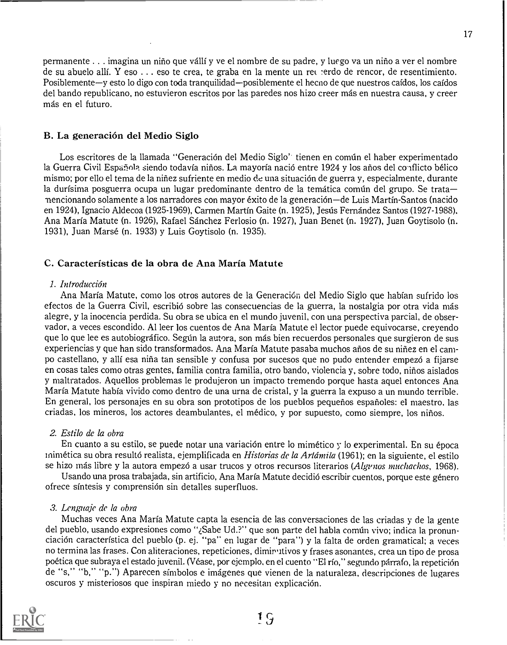permanente . . imagina un nirio que valli y ye el nombre de su padre, y luego va un nirio a ver el nombre de su abuelo alli. Y eso . . . eso te crea, te graba en la mente un re( -erdo de rencor, de resentimiento. Posiblemente-y esto lo digo con toda tranquilidad-posiblemente el hecno de que nuestros caídos, los caídos del bando republicano, no estuvieron escritos por las paredes nos hizo creer mas en nuestra causa, y creer más en el futuro.

#### B. La generación del Medio Siglo

Los escritores de la llamada "Generación del Medio Siglo" tienen en común el haber experimentado la Guerra Civil Española siendo todavía niños. La mayoría nació entre 1924 y los años del conflicto bélico mismo; por ello el tema de la niriez sufriente en medio de una situation de guerra y, especialmente, durante la durísima posguerra ocupa un lugar predominante dentro de la temática común del grupo. Se trata--nencionando solamente a los narradores con mayor exito de la generation de Luis Martin-Santos (nacido en 1924), Ignacio Aldecoa (1925-1969), Carmen Martin Gaite (n. 1925), Jesus Fernandez Santos (1927 1988). Ana Maria Matute (n. 1926), Rafael Sanchez Ferlosio (n. 1927), Juan Benet (n. 1927), Juan Goytisolo (n. 1931), Juan Marse (n. 1933) y Luis Goytisolo (n. 1935).

#### C. Caracteristicas de la obra de Ana Maria Matute

#### 1. Introducción

Ana Maria Matute, como los otros autores de la Generacion del Medio Siglo que habian sufrido los efectos de Ia Guerra Civil, escribio sobre las consecuencias de la guerra, la nostalgia por otra vida mas alegre, y la inocencia perdida. Su obra se ubica en el mundo juvenil, con una perspectiva parcial, de observador, a veces escondido. Al leer los cuentos de Ana Maria Matute el lector puede equivocarse, creyendo que lo que lee es autobiográfico. Según la autora, son más bien recuerdos personales que surgieron de sus experiencias y que han sido transformados. Ana María Matute pasaba muchos años de su niñez en el campo castellano, y allí esa niña tan sensible y confusa por sucesos que no pudo entender empezó a fijarse en cosas tales como otras gentes, familia contra familia, otro bando, violencia y, sobre todo, nirios aislados y maltratados. Aquellos problemas le produjeron un impacto tremendo porque hasta aquel entonces Ana Maria Matute habfa vivido como dentro de una urna de cristal, y la guerra la expuso a un mundo terrible. En general, los personajes en su obra son prototipos de los pueblos pequerios esparioles: el maestro, las criadas, los mineros, los actores deambulantes, el medico, y por supuesto, como siempre, los nirios.

#### 2. Estilo de la obra

En cuanto a su estilo, se puede notar una variación entre lo mimético y lo experimental. En su época inimética su obra resultó realista, ejemplificada en *Historias de la Artámila* (1961); en la siguiente, el estilo se hizo más libre y la autora empezó a usar trucos y otros recursos literarios (Algunos muchachos, 1968).

Usando una prosa trabajada, sin artificio, Ana María Matute decidió escribir cuentos, porque este género ofrece sintesis y comprension sin detalles superfluos.

#### 3. Lenguaje de la obra

Muchas veces Ana Maria Matute capta la esencia de las conversaciones de las criadas y de la gente del pueblo, usando expresiones como "¿Sabe Ud.?" que son parte del habla común vivo; indica la pronunciación característica del pueblo (p. ej. "pa" en lugar de "para") y la falta de orden gramatical; a veces no termina las frases. Con aliteraciones, repeticiones, diminutivos y frases asonantes, crea un tipo de prosa poética que subraya el estado juvenil. (Véase, por ejemplo, en el cuento "El río," segundo párrafo, la repetición de "s," "b," "p.") Aparecen simbolos e imagenes que vienen de la naturaleza, descripciones de lugares oscuros y misteriosos que inspiran miedo y no necesitan explicación.

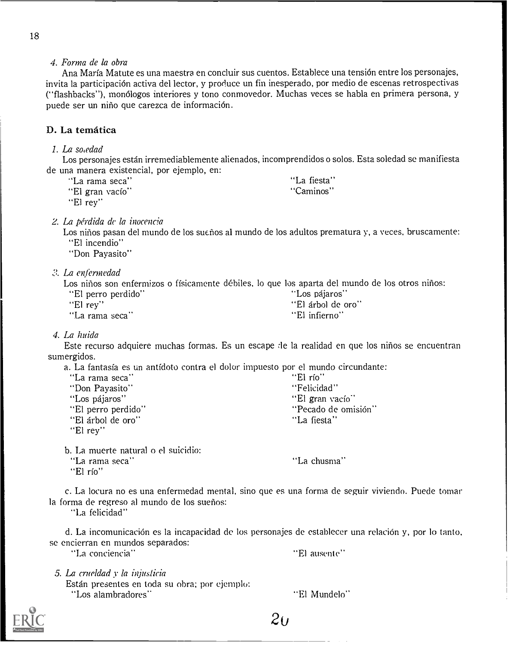4. Forma de la obra

Ana Maria Matute es una maestra en concluir sus cuentos. Establece una tension entre los personajes, invita la participacion activa del lector, y produce un fin inesperado, por medio de escenas retrospectivas ("flashbacks"), monólogos interiores y tono conmovedor. Muchas veces se habla en primera persona, y puede ser un niño que carezca de información.

# D. La temática

I. La so,edad

Los personajes estan irremediablemente alienados, incomprendidos o solos. Esta soledad se manifiesta de una manera existencial, por ejemplo, en:

| "La rama seca"  | "La fiesta" |
|-----------------|-------------|
| "El gran vacío" | "Caminos"   |

"El rey"

2. La perdida de la inocencia

Los niños pasan del mundo de los sueños al mundo de los adultos prematura y, a veces, bruscamente: "El incendio"

"Don Payasito"

0. La enfermedad

Los niños son enfermizos o físicamente débiles, lo que los aparta del mundo de los otros niños:

"El perro perdido" "Los pajaros" "El árbol de oro"<br>"El infierno" "La rama seca"

#### 4. La huida

Este recurso adquiere muchas formas. Es un escape de la realidad en que los niños se encuentran sumergidos.

a. La fantasía es un antídoto contra el dolor impuesto por el mundo circundante:

| "La rama seca"     | "El río"            |
|--------------------|---------------------|
| "Don Payasito"     | "Felicidad"         |
| "Los pájaros"      | "El gran vacío"     |
| "El perro perdido" | "Pecado de omisión" |
| "El árbol de oro"  | "La fiesta"         |
| "El rey"           |                     |

b. La muerte natural o el suicidio:

"La rama seca"

"La chusma"

"El rio"

c. La locura no es una enfermedad mental, sino que es una forma de seguir viviendo. Puede tomar la forma de regreso al mundo de los suenos:

"La felicidad"

d. La incomunicación es la incapacidad de los personajes de establecer una relación y, por lo tanto, se encierran en mundos separados:

"La conciencia" "El ausente"

"El Mundelo"

5. La crueldad v la injuslicia

Estan presentes en toda su obra; por ejemplo: "Los alambradores"



 $2u$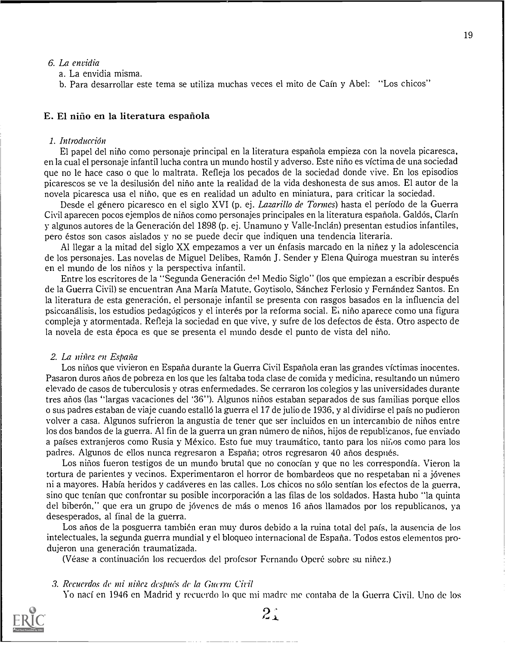#### 6. La envidia

a. La envidia misma.

b. Para desarrollar este tema se utiliza muchas veces el mito de Caín y Abel: "Los chicos"

#### E. El nino en la literatura espafiola

#### 1. Introducción

El papel del nino como personaje principal en la literatura espariola empieza con la novela picaresca, en la cual el personaje infantil lucha contra un mundo hostil y adverso. Este nino es victima de una sociedad que no le hace caso o que lo maltrata. Refleja los pecados de la sociedad donde vive. En los episodios picarescos se ve la desilusion del nino ante la realidad de la vida deshonesta de sus amos. El autor de la novela picaresca usa el nino, que es en realidad un adulto en miniatura, para criticar la sociedad.

Desde el género picaresco en el siglo XVI (p. ej. *Lazarillo de Tormes*) hasta el período de la Guerra Civil aparecen pocos ejemplos de niños como personajes principales en la literatura española. Galdós, Clarín y algunos autores de la Generacion del 1898 (p. ej. Unamuno y Valle-Inclan) presentan estudios infantiles, pero estos son casos aislados y no se puede decir que indiquen una tendencia literaria.

Al llegar a la mitad del siglo XX empezamos a ver un enfasis marcado en la niriez y la adolescencia de los personajes. Las novelas de Miguel Delibes, Ramon J. Sender y Elena Quiroga muestran su interes en el mundo de los ninos y Ia perspectiva infantil.

Entre los escritores de la "Segunda Generación del Medio Siglo" (los que empiezan a escribir después de la Guerra Civil) se encuentran Ana Maria Matute, Goytisolo, Sanchez Ferlosio y Fernandez Santos. En la literatura de esta generacion, el personaje infantil se presenta con rasgos basados en la influencia del psiccanalisis, los estudios pedagogicos y el interes por la reforma social. Ei nino aparece como una figura compleja y atormentada. Refleja la sociedad en que vive, y sufre de los defectos de esta. Otro aspecto de la novela de esta epoca es que se presenta el mundo desde el punto de vista del nino.

#### 2. La nifiez en Espana

Los ninos que vivieron en Espana durante la Guerra Civil Espanola eran las grandes victimas inocentes. Pasaron duros años de pobreza en los que les faltaba toda clase de comida y medicina, resultando un número elevado de casos de tuberculosis y otras enfermedades. Se cerraron los colegios y las universidades durante tres anos (las "largas vacaciones del '36"). Algunos ninos estaban separados de sus familias porque ellos o sus padres estaban de viaje cuando estallo Ia guerra el 17 de julio de 1936, y al dividirse el pais no pudieron volver a casa. Algunos sufrieron la angustia de tener que ser incluidos en un intercambio de niños entre los dos bandos de la guerra. Al fin de la guerra un gran número de niños, hijos de republicanos, fue enviado a paises extranjeros como Rusia y Mexico. Esto fue muy traumatico, tanto para los ninos como para los padres. Algunos de ellos nunca regresaron a Espana; otros regresaron 40 anos despues.

Los niños fueron testigos de un mundo brutal que no conocían y que no les correspondía. Vieron la tortura de parientes y vecinos. Experimentaron el horror de bombardeos que no respetaban ni a jóvenes ni a mayores. Había heridos y cadáveres en las calles. Los chicos no sólo sentían los efectos de la guerra, sino que tenían que confrontar su posible incorporación a las filas de los soldados. Hasta hubo "la quinta del biberón," que era un grupo de jóvenes de más o menos 16 años llamados por los republicanos, ya desesperados, al final de la guerra.

Los años de la posguerra también eran muy duros debido a la ruina total del país, la ausencia de los intelectuales, Ia segunda guerra mundial y el bloqueo internacional de Espana. Todos estos elementos produjeron una generacion traumatizada.

(Véase a continuación los recuerdos del profesor Fernando Operé sobre su niñez.)

#### 3. Recuerdos de mi niñez después de la Guerra Civil

Yo nací en 1946 en Madrid y recuerdo lo que mi madre me contaba de la Guerra Civil. Uno de los



 $2.1$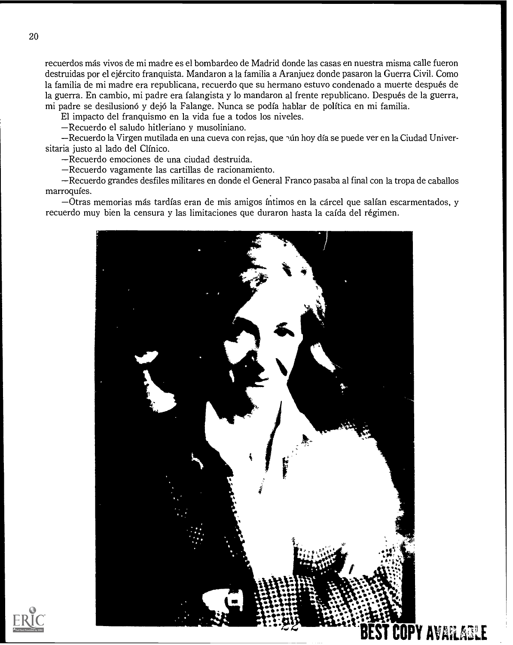recuerdos mas vivos de mi madre es el bombardeo de Madrid donde las casas en nuestra misma calle fueron destruidas por el ejercito franquista. Mandaron a la familia a Aranjuez donde pasaron la Guerra Civil. Como la familia de mi madre era republicana, recuerdo que su hermano estuvo condenado a muerte después de la guerra. En cambio, mi padre era falangista y lo mandaron al frente republicano. Después de la guerra, mi padre se desilusiono y dejo la Falange. Nunca se podia hablar de politica en mi familia.

El impacto del franquismo en la vida fue a todos los niveles.

Recuerdo el saludo hitleriano y musoliniano.

-Recuerdo la Virgen mutilada en una cueva con rejas, que nún hoy día se puede ver en la Ciudad Universitaria justo al lado del Clínico.

Recuerdo emociones de una ciudad destruida.

Recuerdo vagamente las cartillas de racionamiento.

Recuerdo grandes desfiles militares en donde el General Franco pasaba al final con la tropa de caballos marroquies.

Otras memorias ma's tardias eran de mis amigos intimos en la carcel que salfan escarmentados, y recuerdo muy bien la censura y las limitaciones que duraron hasta la caída del régimen.



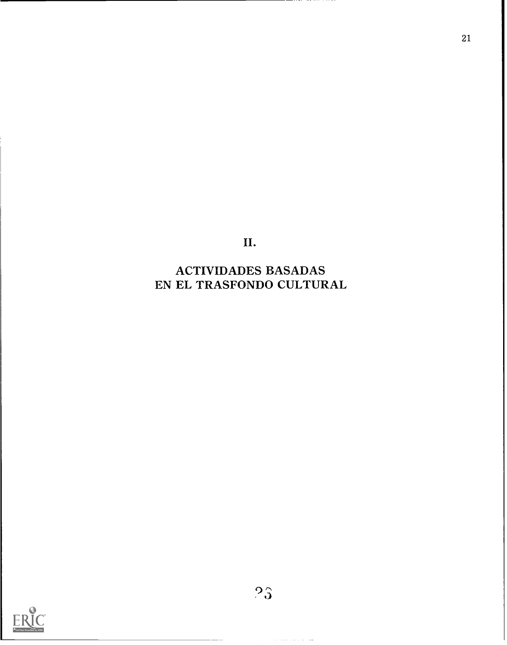II.

21

ACTIVIDADES BASADAS EN EL TRASFONDO CULTURAL

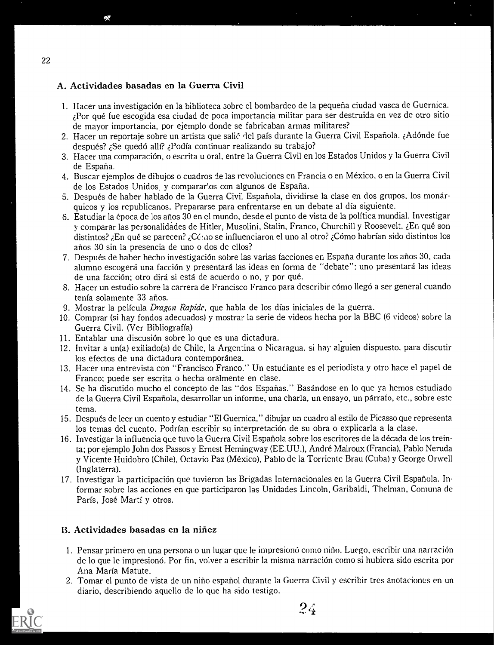# A. Actividades basadas en la Guerra Civil

- 1. Hacer una investigación en la biblioteca sobre el bombardeo de la pequeña ciudad vasca de Guernica. ¿Por qué fue escogida esa ciudad de poca importancia militar para ser destruida en vez de otro sitio de mayor importancia, por ejemplo donde se fabricaban armas militares?
- 2. Hacer un reportaje sobre un artista que salié del país durante la Guerra Civil Española. ¿Adónde fue después? ¿Se quedó allí? ¿Podía continuar realizando su trabajo?
- 3. Hacer una comparación, o escrita u oral, entre la Guerra Civil en los Estados Unidos y la Guerra Civil de Espana.
- 4. Buscar ejemplos de dibujos o cuadros de las revoluciones en Francia o en Mexico, o en Ia Guerra Civil de los Estados Unidos, y comparar'os con algunos de España.
- 5. Después de haber hablado de la Guerra Civil Española, dividirse la clase en dos grupos, los monárquicos y los republicanos. Prepararse para enfrentarse en un debate al dia siguiente.
- 6. Estudiar la epoca de los anos 30 en el mundo, desde el punto de vista de la polftica mundial. Investigar y comparar las personalidades de Hitler, Musolini, Stalin, Franco, Churchill y Roosevelt. ¿En qué son distintos? ¿En qué se parecen? ¿Cóno se influenciaron el uno al otro? ¿Cómo habrían sido distintos los anos 30 sin la presencia de uno o dos de ellos?
- 7. Después de haber hecho investigación sobre las varias facciones en España durante los años 30, cada alumno escogerá una facción y presentará las ideas en forma de "debate": uno presentará las ideas de una facción; otro dirá si está de acuerdo o no, y por qué.
- 8. Hacer un estudio sobre la carrera de Francisco Franco para describir cómo llegó a ser general cuando tenia solamente 33 anos.
- 9. Mostrar la pelicula Dragon Rapide, que habla de los dias iniciales de la guerra.
- 10. Comprar (si hay fondos adecuados) y mostrar la serie de videos hecha por la BBC (6 videos) sobre la Guerra Civil. (Ver Bibliografia)
- 11. Entablar una discusión sobre lo que es una dictadura.
- 12. Invitar a un(a) exiliado(a) de Chile, la Argentina o Nicaragua, si hay alguien dispuesto, para discutir los efectos de una dictadura contemporánea.
- 13. Hacer una entrevista con "Francisco Franco." Un estudiante es el periodista y otro hace el papel de Franco; puede ser escrita o hecha oralmente en clase.
- 14. Se ha discutido mucho el concepto de las "dos Esparias." Basandose en lo que ya hemos estudiado de la Guerra Civil Espanola, desarrollar un informe, una charla, un ensayo, un parrafo, etc., sobre este tema.
- 15. Despues de leer un cuento y estudiar "El Guernica," dibujar un cuadro al estilo de Picasso que represents los temas del cuento. Podrian escribir su interpretacion de su obra o explicarla a Ia clase.
- 16. Investigar la influencia que tuvo la Guerra Civil Española sobre los escritores de la década de los treinta; por ejemplo John dos Passos y Ernest Hemingway (EE.UU.), Andre Malroux (Francia), Pablo Neruda y Vicente Huidobro (Chile), Octavio Paz (Mexico), Pablo de la Torriente Brau (Cuba) y George Orwell (Inglaterra).
- 17. Investigar la participacion que tuvieron las Brigadas Internacionales en la Guerra Civil Espanola. Informar sobre las acciones en que participaron las Unidades Lincoln, Garibaldi, Thelman, Comuna de París, José Martí y otros.

# B. Actividades basadas en la niñez

- 1. Pensar primero en una persona o un lugar que le impresionó como niño. Luego, escribir una narración de lo que le impresionó. Por fin, volver a escribir la misma narración como si hubiera sido escrita por Ana Maria Matute.
- 2. Tomar el punto de vista de un nino espariol durante la Guerra Civil y escribir tres anotaciones en un diario, describiendo aquello de lo que ha sido testigo.



 $24$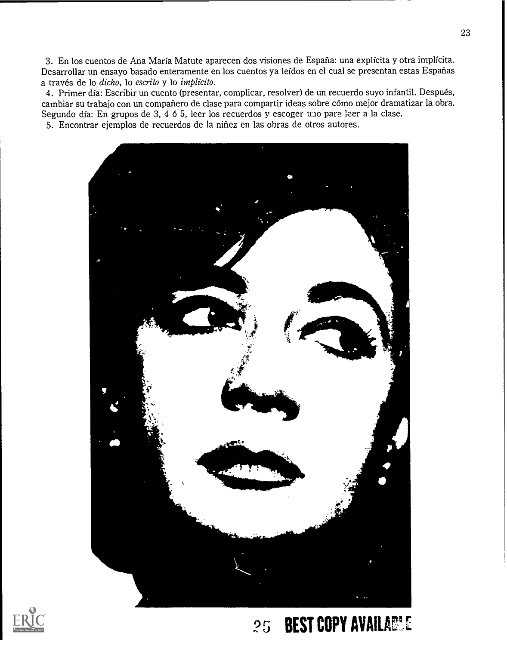3. En los cuentos de Ana Maria Matute aparecen dos visiones de Espana: una explicita y otra implicita. Desarrollar un ensayo basado enteramente en los cuentos ya lefdos en el cual se presentan estas Espanas a través de lo dicho, lo escrito y lo implícito.

4. Primer día: Escribir un cuento (presentar, complicar, resolver) de un recuerdo suyo infantil. Después, cambiar su trabajo con un compañero de clase para compartir ideas sobre cómo mejor dramatizar la obra. Segundo día: En grupos de 3, 4 ó 5, leer los recuerdos y escoger uno para leer a la clase.

5. Encontrar ejemplos de recuerdos de la nifiez en las obras de otros autores.





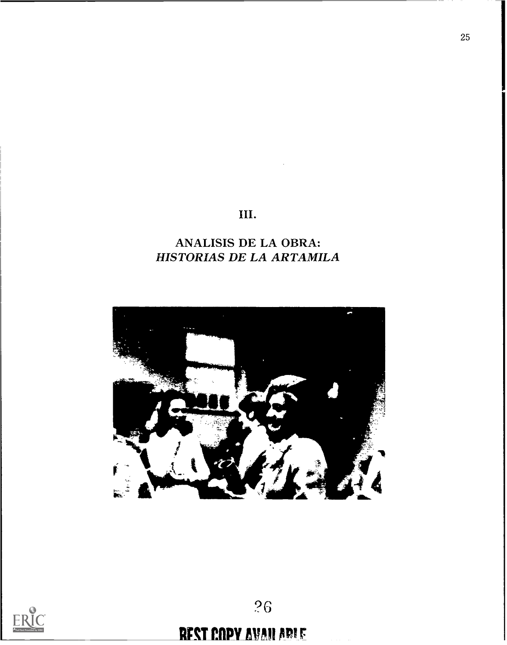# III.

# ANALISIS DE LA OBRA: HISTORIAS DE LA ARTAMILA





# **REST COPY AVAILABLE**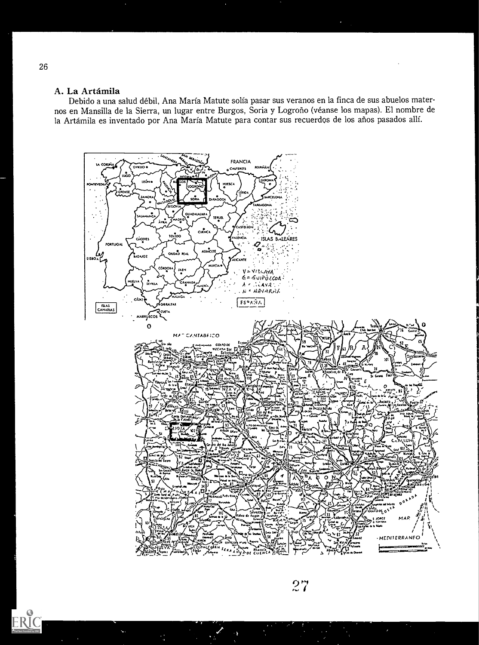### A. La Artámila

Debido a una salud débil, Ana María Matute solía pasar sus veranos en la finca de sus abuelos maternos en Mansilla de la Sierra, un lugar entre Burgos, Soria y Logroño (véanse los mapas). El nombre de la Artámila es inventado por Ana María Matute para contar sus recuerdos de los años pasados allí.



 $27$ 

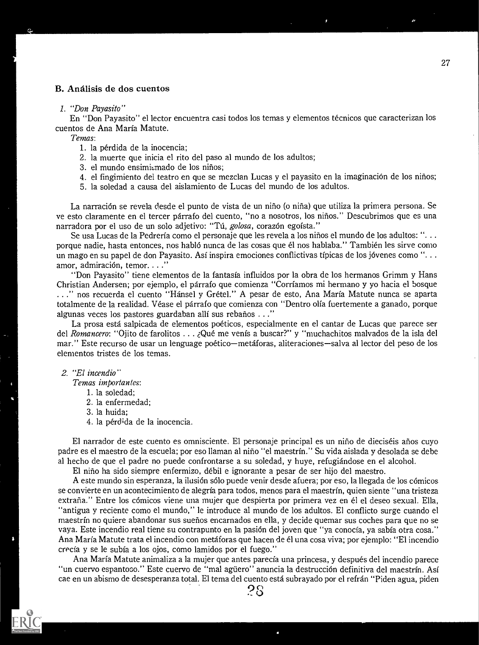#### B. Analisis de dos cuentos

#### I. "Don Payasito"

En "Don Payasito" el lector encuentra casi todos los temas y elementos tecnicos que caracterizan los cuentos de Ana Maria Matute.

Temas:

- 1. la pérdida de la inocencia;
- 2. la muerte que inicia el rito del paso al mundo de los adultos;
- 3. el mundo ensimismado de los niños;
- 4. el fingimiento del teatro en que se mezclan Lucas y el payasito en la imaginación de los niños;
- 5. la soledad a causa del aislamiento de Lucas del mundo de los adultos.

La narración se revela desde el punto de vista de un niño (o niña) que utiliza la primera persona. Se ye esto claramente en el tercer parrafo del cuento, "no a nosotros, los ninos." Descubrimos que es una narradora por el uso de un solo adjetivo: "Tú, *golosa*, corazón egoísta."

Se usa Lucas de la Pedrería como el personaje que les revela a los niños el mundo de los adultos: "... porque nadie, hasta entonces, nos hablo nunca de las cosas que el nos hablaba." Tambien les sirve como un mago en su papel de don Payasito. Asi inspira emociones conflictivas tipicas de los jovenes como ". . . amor, admiración, temor...."

"Don Payasito" tiene elementos de la fantasia influidos por la obra de los hermanos Grimm y Hans Christian Andersen; por ejemplo, el parrafo que comienza "Corriamos mi hermano y yo hacia el bosque ." nos recuerda el cuento "Hansel y Gretel." A pesar de esto, Ana Maria Matute nunca se aparta totalmente de la realidad. Véase el párrafo que comienza con "Dentro olía fuertemente a ganado, porque algunas veces los pastores guardaban alli sus rebanos . ."

La prosa esta salpicada de elementos poeticos, especialmente en el cantar de Lucas que parece ser del Romancero: "Ojito de farolitos . . . Qué me venís a buscar?" y "muchachitos malvados de la isla del mar." Este recurso de usar un lenguage poético—metáforas, aliteraciones—salva al lector del peso de los elementos tristes de los temas.

#### 2. "El incendio"

Temas importantes:

- 1. la soledad;
- 2. la enfermedad;
- 3. la huida;
- 4. la pérdida de la inocencia.

El narrador de este cuento es omnisciente. El personaje principal es un nino de dieciseis atios cuyo padre es el maestro de la escuela; por eso llaman al nino "el maestrin." Su vida aislada y desolada se debe al hecho de que el padre no puede confrontarse a su soledad, y huye, refugiandose en el alcohol.

El nino ha sido siempre enfermizo, debil e ignorante a pesar de ser hijo del maestro.

A este mundo sin esperanza, la ilusión sólo puede venir desde afuera; por eso, la llegada de los cómicos se convierte en un acontecimiento de alegrfa para todos, menos para el maestrin, quien siente "una tristeza extraña." Entre los cómicos viene una mujer que despierta por primera vez en él el deseo sexual. Ella, "antigua y reciente como el mundo," le introduce al mundo de los adultos. El conflicto surge cuando el maestrín no quiere abandonar sus sueños encarnados en ella, y decide quemar sus coches para que no se vaya. Este incendio real tiene su contrapunto en la pasi6n del joven que "ya conocia, ya sabia otra cosa." Ana Maria Matute trata el incendio con metaforas que hacen de el una cosa viva; por ejemplo: "El incendio crecia y se le subia a los ojos, como lamidos por el fuego."

Ana Maria Matute animaliza a la mujer que antes parecfa una princesa, y despues del incendio parece "un cuervo espantoso." Este cuervo de "mal agriero" anuncia la destrucci6n definitiva del maestrin. Asf cae en un abismo de desesperanza total. El tema del cuento esta subrayado por el refran "Piden agua, piden

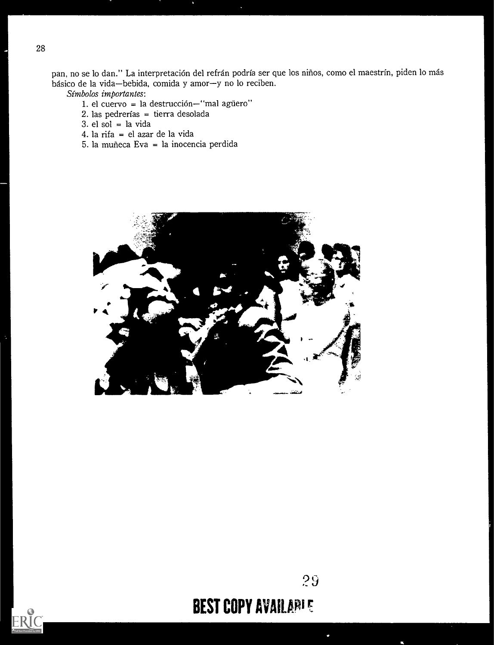pan, no se lo dan." La interpretación del refrán podría ser que los niños, como el maestrín, piden lo más básico de la vida-bebida, comida y amor-y no lo reciben.

Simbolos importantes:

- 1. el cuervo = la destrucción-"mal agüero"
- 2. las pedrerias = tierra desolada
- $3.$  el sol = la vida
- 4. la rifa = el azar de la vida
- 5. la muneca Eva = la inocencia perdida





ERIC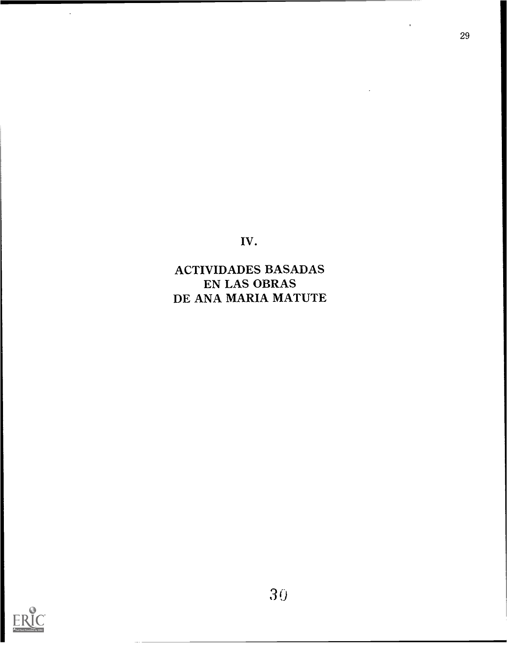IV.

ACTIVIDADES BASADAS EN LAS OBRAS DE ANA MARIA MATUTE



 $\hat{\mathcal{A}}$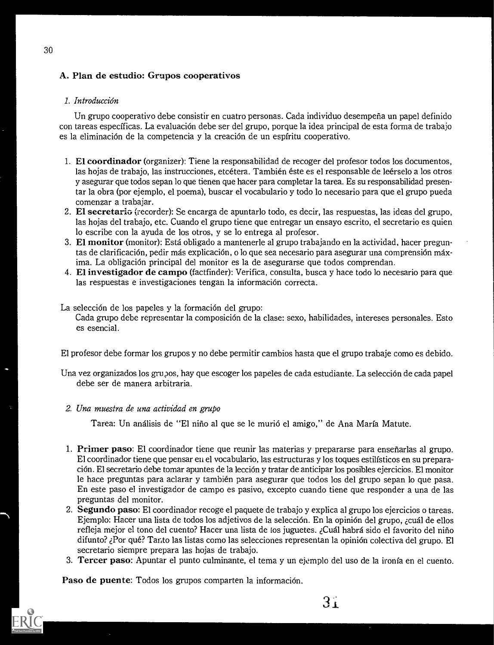# A. Plan de estudio: Grupos cooperativos

# 1. Introducción

Un grupo cooperativo debe consistir en cuatro personas. Cada individuo desempena un papel definido con tareas específicas. La evaluación debe ser del grupo, porque la idea principal de esta forma de trabajo es la eliminación de la competencia y la creación de un espíritu cooperativo.

- 1. El coordinador (organizer): Tiene la responsabilidad de recoger del profesor todos los documentos, las hojas de trabajo, las instrucciones, etcétera. También éste es el responsable de leérselo a los otros y asegurar que todos sepan lo que tienen que hacer para completar la tarea. Es su responsabilidad presentar la obra (por ejemplo, el poema), buscar el vocabulario y todo lo necesario para que el grupo pueda comenzar a trabajar.
- 2. El secretariG (recorder): Se encarga de apuntarlo todo, es decir, las respuestas, las ideas del grupo, las hojas del trabajo, etc. Cuando el grupo tiene que entregar un ensayo escrito, el secretario es quien lo escribe con la ayuda de los otros, y se lo entrega al profesor.
- 3. El monitor (monitor): Esta obligado a mantenerle al grupo trabajando en la actividad, hacer preguntas de clarificación, pedir más explicación, o lo que sea necesario para asegurar una comprensión máxima. La obligacion principal del monitor es la de asegurarse que todos comprendan.
- 4. El investigador de campo (factfinder): Verifica, consulta, busca y hace todo lo necesario para que las respuestas e investigaciones tengan la información correcta.

La selección de los papeles y la formación del grupo:

Cada grupo debe representar la composición de la clase: sexo, habilidades, intereses personales. Esto es esencial.

El profesor debe formar los grupos y no debe permitir cambios hasta que el grupo trabaje como es debido.

Una vez organizados los grupos, hay que escoger los papeles de cada estudiante. La selección de cada papel debe ser de manera arbitraria.

# 2. Una muestra de una actividad en grupo

Tarea: Un análisis de "El niño al que se le murió el amigo," de Ana María Matute.

- 1. Primer paso: El coordinador tiene que reunir las materias y prepararse para ensenarlas al grupo. El coordinador tiene que pensar en el vocabulario, las estructuras y los toques estilfsticos en su preparacion. El secretario debe tomar apuntes de la leccion y tratar de anticipar los posibles ejercicios. El monitor le hace preguntas para aclarar y tambien para asegurar que todos los del grupo sepan lo que pasa. En este paso el investigador de campo es pasivo, excepto cuando tiene que responder a una de las preguntas del monitor.
- 2. Segundo paso: El coordinador recoge el paquete de trabajo y explica al grupo los ejercicios o tareas. Ejemplo: Hacer una lista de todos los adjetivos de la seleccion. En la opinion del grupo, zcual de ellos refleja mejor el tono del cuento? Hacer una lista de tos juguetes. ¿Cuál habrá sido el favorito del niño difunto? ,Por que? Tanto las listas como las selecciones representan la opinion colectiva del grupo. El secretario siempre prepara las hojas de trabajo.
- 3. Tercer paso: Apuntar el punto culminante, el tema y un ejemplo del uso de la ironía en el cuento.

 $3<sub>1</sub>$ 

Paso de puente: Todos los grupos comparten la información.

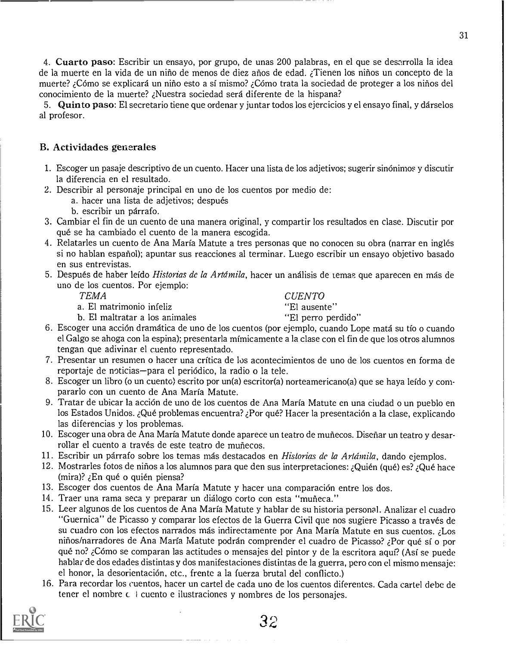4. Cuarto paso: Escribir un ensayo, por grupo, de unas 200 palabras, en el que se desarrolla la idea de la muerte en la vida de un nirio de menos de diez arios de edad. zTienen los ninos un concepto de la muerte? e:Como se explicard un nino esto a si mismo? COmo trata la sociedad de proteger a los ninos del conocimiento de la muerte? zNuestra sociedad sera diferente de la hispana?

5. Quinto paso: El secretario tiene que ordenar y juntar todos los ejercicios y el ensayo final, y darselos al profesor.

#### B. Actividades generales

- 1. Escoger un pasaje descriptivo de un cuento. Hacer una lista de los adjetivos; sugerir sinonimos y discutir la diferencia en el resultado.
- 2. Describir al personaje principal en uno de los cuentos por medio de:
	- a. hacer una lista de adjetivos; después
	- b. escribir un parrafo.
- 3. Cambiar el fin de un cuento de una manera original, y compartir los resultados en clase. Discutir por qué se ha cambiado el cuento de la manera escogida.
- 4. Relatarles un cuento de Ana Maria Matute a tres personas que no conocen su obra (narrar en ingles si no hablan espariol); apuntar sus reacciones al terminar. Luego escribir un ensayo objetivo basado en sus entrevistas.
- 5. Después de haber leído *Historias de la Artámila*, hacer un análisis de temas que aparecen en más de uno de los cuentos. Por ejemplo:

TEMA CUENTO

a. El matrimonio infeliz de la controlla de la "El ausente" b. El maltratar a los animales de la controlla de "<br>Al maltratar a los animales de la "El perro perdido" b. El maltratar a los animales

- 6. Escoger una acción dramática de uno de los cuentos (por ejemplo, cuando Lope matá su tío o cuando el Galgo se ahoga con la espina); presentarla mimicamente a la clase con el fin de que los otros alumnos tengan que adivinar el cuento representado.
- 7. Presentar un resumen o hacer una crftica de los acontecimientos de uno de los cuentos en forma de reportaje de noticias—para el periódico, la radio o la tele.
- 8. Escoger un libro (o un cuento) escrito por un(a) escritor(a) norteamericano(a) que se haya leído y compararlo con un cuento de Ana Maria Matute.
- 9. Tratar de ubicar la acción de uno de los cuentos de Ana María Matute en una ciudad o un pueblo en los Estados Unidos. ¿Qué problemas encuentra? ¿Por qué? Hacer la presentación a la clase, explicando las diferencias y los problemas.
- 10. Escoger una obra de Ana Maria Matute donde aparece un teatro de munecos. Diseriar un teatro y desarrollar el cuento a través de este teatro de muñecos.
- 11. Escribir un párrafo sobre los temas más destacados en *Historias de la Artámila*, dando ejemplos.
- 12. Mostrarles fotos de niños a los alumnos para que den sus interpretaciones: ¿Quién (qué) es? ¿Qué hace (mira)?  $E_n$  que o quien piensa?
- 13. Escoger dos cuentos de Ana María Matute y hacer una comparación entre los dos.
- 14. Traer una rama seca y preparar un diálogo corto con esta "muñeca."
- 15. Leer algunos de los cuentos de Ana Maria Matute y hablar de su historia personal. Analizar el cuadro "Guernica" de Picasso y comparar los efectos de la Guerra Civil que nos sugiere Picasso a traves de su cuadro con los efectos narrados más indirectamente por Ana María Matute en sus cuentos. ¿Los nirios/narradores de Ana Maria Matute podran comprender el cuadro de Picasso? Por que si o por qué no? ¿Cómo se comparan las actitudes o mensajes del pintor y de la escritora aquí? (Así se puede hablar de dos edades distintas y dos manifestaciones distintas de la guerra, pero con el mismo mensaje: el honor, la desorientacion, etc., frente a la fuerza brutal del conflicto.)
- 16. Para recordar los cuentos, hacer un cartel de cada uno de los cuentos diferentes. Cada cartel debe de tener el nombre c i cuento e ilustraciones y nombres de los personajes.

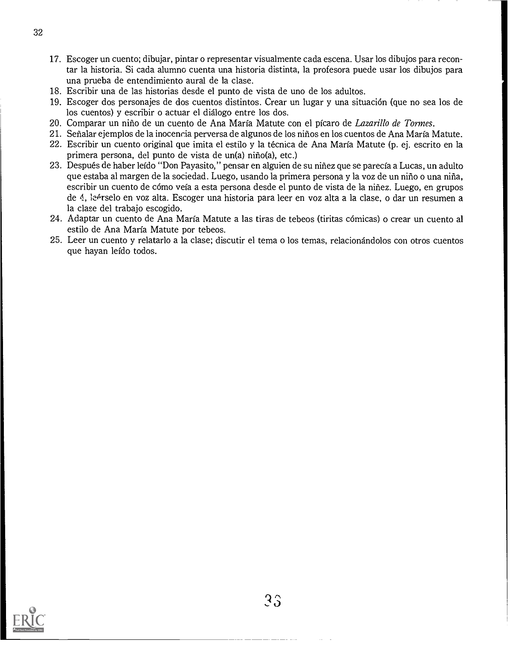- 17. Escoger un cuento; dibujar, pintar o representar visualmente cada escena. Usar los dibujos para recontar la historia. Si cada alumno cuenta una historia distinta, la profesora puede usar los dibujos para una prueba de entendimiento aural de la clase.
- 18. Escribir una de las historias desde el punto de vista de uno de los adultos.
- 19. Escoger dos personajes de dos cuentos distintos. Crear un lugar y una situacion (que no sea los de los cuentos) y escribir o actuar el dialogo entre los dos.
- 20. Comparar un niño de un cuento de Ana María Matute con el pícaro de Lazarillo de Tormes.
- 21. Senalar ejemplos de la inocencia perversa de algunos de los nirios en los cuentos de Ana Marfa Matute.
- 22. Escribir un cuento original que imita el estilo y la tecnica de Ana Marfa Matute (p. ej. escrito en la primera persona, del punto de vista de un(a) niño(a), etc.)
- 23. Despues de haber lefdo "Don Payasito," pensar en alguien de su niriez que se parecfa a Lucas, un adulto que estaba al margen de la sociedad. Luego, usando la primera persona y la voz de un nino o una nina, escribir un cuento de cómo veía a esta persona desde el punto de vista de la niñez. Luego, en grupos de 4, le<sup>4</sup>rselo en voz alta. Escoger una historia para leer en voz alta a la clase, o dar un resumen a la clase del trabajo escogido.
- 24. Adaptar un cuento de Ana Marfa Matute a las tiras de tebeos (tiritas c6micas) o crear un cuento al estilo de Ana Marfa Matute por tebeos.
- 25. Leer un cuento y relatarlo a la clase; discutir el tema o los temas, relacionandolos con otros cuentos que hayan lefdo todos.

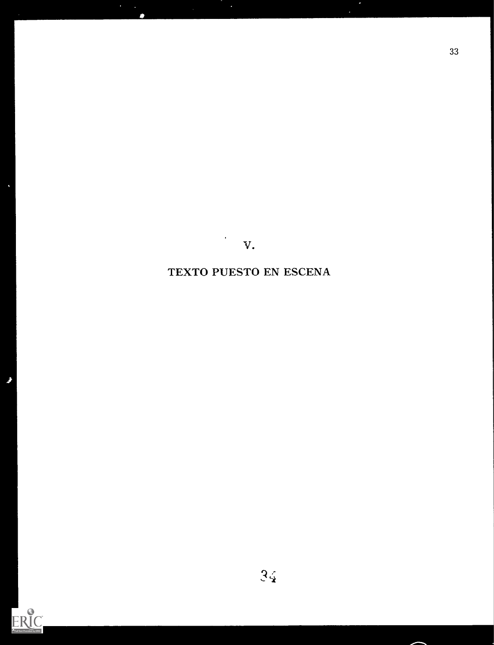$\mathbf{v}$ .

 $\mathcal{L}$ 

33

TEXTO PUESTO EN ESCENA



k

Ĵ

 $3\zeta$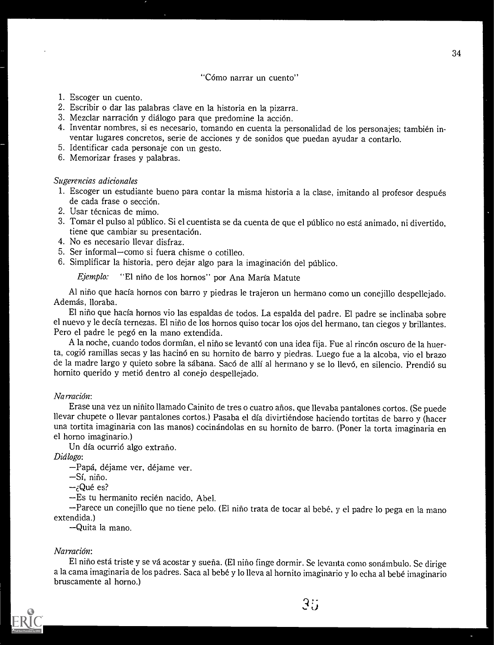"Cómo narrar un cuento"

- 1. Escoger un cuento.
- 2. Escribir o dar las palabras clave en la historia en la pizarra.
- 3. Mezclar narración y diálogo para que predomine la acción.
- 4. Inventar nombres, si es necesario, tomando en cuenta la personalidad de los personajes; tambien inventar lugares concretos, serie de acciones y de sonidos que puedan ayudar a contarlo.
- 5. Identificar cada personaje con un gesto.
- 6. Memorizar frases y palabras.

### Sugerencias adicionales

- 1. Escoger un estudiante bueno para contar la misma historia a la clase, imitando al profesor después de cada frase o sección.
- 2. Usar técnicas de mimo.
- 3. Tomar el pulso al público. Si el cuentista se da cuenta de que el público no está animado, ni divertido, tiene que cambiar su presentación.
- 4. No es necesario llevar disfraz.
- 5. Ser informal-como si fuera chisme o cotilleo.
- 6. Simplificar la historia, pero dejar algo para la imaginación del público.

Ejemplo: "El niño de los hornos" por Ana María Matute

Al niño que hacía hornos con barro y piedras le trajeron un hermano como un conejillo despellejado. Además, lloraba.

El nino que hada hornos vio las espaldas de todos. La espalda del padre. El padre se inclinaba sobre el nuevo y le decfa ternezas. El nino de los hornos quiso tocar los ojos del hermano, tan ciegosy brillantes. Pero el padre le peg6 en la mano extendida.

A la noche, cuando todos dormían, el niño se levantó con una idea fija. Fue al rincón oscuro de la huerta, cogió ramillas secas y las hacinó en su hornito de barro y piedras. Luego fue a la alcoba, vio el brazo de la madre largo y quieto sobre la sábana. Sacó de allí al hermano y se lo llevó, en silencio. Prendió su hornito querido y meti6 dentro al conejo despellejado.

## Narración:

Erase una vez un niriito llamado Cainito de tres o cuatro arios, que llevaba pantalones cortos. (Se puede llevar chupete o llevar pantalones cortos.) Pasaba el día divirtiéndose haciendo tortitas de barro y (hacer una tortita imaginaria con las manos) cocinandolas en su hornito de barro. (Poner la torta imaginaria en el horno imaginario.)

Un día ocurrió algo extraño.

Diálogo:

-Papá, déjame ver, déjame ver.

 $-Si$ , niño.

 $-i$ Qué es?

-Es tu hermanito recién nacido, Abel.

-Parece un conejillo que no tiene pelo. (El niño trata de tocar al bebé, y el padre lo pega en la mano extendida.)

Quita la mano.

# Narración:

El niño está triste y se vá acostar y sueña. (El niño finge dormir. Se levanta como sonámbulo. Se dirige a la cama imaginaria de los padres. Saca al bebe y lo lleva al hornito imaginario y lo echa al bebe imaginario bruscamente al horno.)



 $3\%$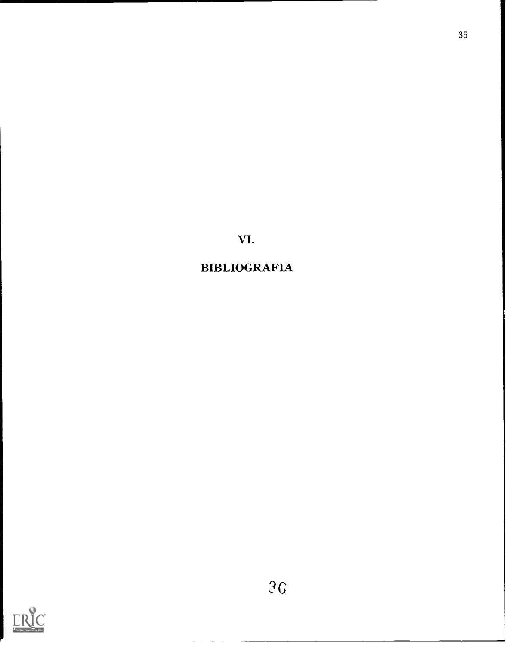VI.

# BIBLIOGRAFIA